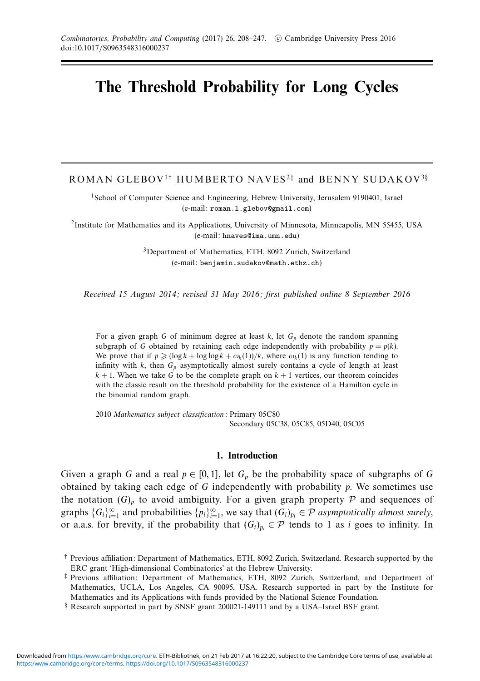# **The Threshold Probability for Long Cycles**

ROMAN GLEBOV<sup>1†</sup> HUMBERTO NAVES<sup>2‡</sup> and BENNY SUDAKOV<sup>3§</sup>

<sup>1</sup>School of Computer Science and Engineering, Hebrew University, Jerusalem 9190401, Israel (e-mail: roman.l.glebov@gmail.com)

2Institute for Mathematics and its Applications, University of Minnesota, Minneapolis, MN 55455, USA (e-mail: hnaves@ima.umn.edu)

> 3Department of Mathematics, ETH, 8092 Zurich, Switzerland (e-mail: benjamin.sudakov@math.ethz.ch)

Received 15 August 2014; revised 31 May 2016; first published online 8 September 2016

For a given graph *G* of minimum degree at least *k*, let *Gp* denote the random spanning subgraph of *G* obtained by retaining each edge independently with probability  $p = p(k)$ . We prove that if  $p \geqslant (\log k + \log \log k + \omega_k(1))/k$ , where  $\omega_k(1)$  is any function tending to infinity with *k*, then *Gp* asymptotically almost surely contains a cycle of length at least  $k + 1$ . When we take *G* to be the complete graph on  $k + 1$  vertices, our theorem coincides with the classic result on the threshold probability for the existence of a Hamilton cycle in the binomial random graph.

2010 Mathematics subject classification: Primary 05C80 Secondary 05C38, 05C85, 05D40, 05C05

## **1. Introduction**

Given a graph *G* and a real  $p \in [0, 1]$ , let  $G_p$  be the probability space of subgraphs of *G* obtained by taking each edge of *G* independently with probability *p*. We sometimes use the notation  $(G)_p$  to avoid ambiguity. For a given graph property P and sequences of graphs  $\{G_i\}_{i=1}^{\infty}$  and probabilities  $\{p_i\}_{i=1}^{\infty}$ , we say that  $(G_i)_{p_i} \in \mathcal{P}$  asymptotically almost surely, or a.a.s. for brevity, if the probability that  $(G_i)_{p_i} \in \mathcal{P}$  tends to 1 as *i* goes to infinity. In

<sup>†</sup> Previous affiliation: Department of Mathematics, ETH, 8092 Zurich, Switzerland. Research supported by the ERC grant 'High-dimensional Combinatorics' at the Hebrew University.

<sup>‡</sup> Previous affiliation: Department of Mathematics, ETH, 8092 Zurich, Switzerland, and Department of Mathematics, UCLA, Los Angeles, CA 90095, USA. Research supported in part by the Institute for Mathematics and its Applications with funds provided by the National Science Foundation.

<sup>§</sup> Research supported in part by SNSF grant 200021-149111 and by a USA–Israel BSF grant.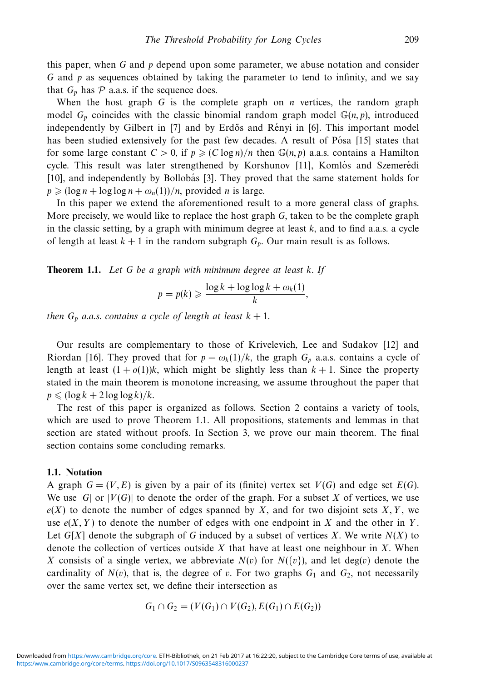this paper, when *G* and *p* depend upon some parameter, we abuse notation and consider *G* and *p* as sequences obtained by taking the parameter to tend to infinity, and we say that  $G_p$  has  $P$  a.a.s. if the sequence does.

When the host graph *G* is the complete graph on *n* vertices, the random graph model  $G_p$  coincides with the classic binomial random graph model  $G(n, p)$ , introduced independently by Gilbert in [7] and by Erdős and Rényi in [6]. This important model has been studied extensively for the past few decades. A result of Pósa [15] states that for some large constant  $C > 0$ , if  $p \geqslant (C \log n)/n$  then  $\mathbb{G}(n, p)$  a.a.s. contains a Hamilton cycle. This result was later strengthened by Korshunov [11], Komlós and Szemerédi [10], and independently by Bollobás [3]. They proved that the same statement holds for  $p \geq (\log n + \log \log n + \omega_n(1))/n$ , provided *n* is large.

In this paper we extend the aforementioned result to a more general class of graphs. More precisely, we would like to replace the host graph *G*, taken to be the complete graph in the classic setting, by a graph with minimum degree at least *k*, and to find a.a.s. a cycle of length at least  $k + 1$  in the random subgraph  $G_p$ . Our main result is as follows.

**Theorem 1.1.** Let *G* be a graph with minimum degree at least *k*. If

$$
p = p(k) \geqslant \frac{\log k + \log \log k + \omega_k(1)}{k},
$$

then  $G_p$  a.a.s. contains a cycle of length at least  $k + 1$ .

Our results are complementary to those of Krivelevich, Lee and Sudakov [12] and Riordan [16]. They proved that for  $p = \omega_k(1)/k$ , the graph  $G_p$  a.a.s. contains a cycle of length at least  $(1 + o(1))k$ , which might be slightly less than  $k + 1$ . Since the property stated in the main theorem is monotone increasing, we assume throughout the paper that  $p \leq (\log k + 2 \log \log k)/k$ .

The rest of this paper is organized as follows. Section 2 contains a variety of tools, which are used to prove Theorem 1.1. All propositions, statements and lemmas in that section are stated without proofs. In Section 3, we prove our main theorem. The final section contains some concluding remarks.

# **1.1. Notation**

A graph  $G = (V, E)$  is given by a pair of its (finite) vertex set  $V(G)$  and edge set  $E(G)$ . We use  $|G|$  or  $|V(G)|$  to denote the order of the graph. For a subset X of vertices, we use  $e(X)$  to denote the number of edges spanned by X, and for two disjoint sets  $X, Y$ , we use  $e(X, Y)$  to denote the number of edges with one endpoint in X and the other in Y. Let  $G[X]$  denote the subgraph of G induced by a subset of vertices X. We write  $N(X)$  to denote the collection of vertices outside *X* that have at least one neighbour in *X*. When *X* consists of a single vertex, we abbreviate  $N(v)$  for  $N({v})$ , and let deg(*v*) denote the cardinality of  $N(v)$ , that is, the degree of  $v$ . For two graphs  $G_1$  and  $G_2$ , not necessarily over the same vertex set, we define their intersection as

$$
G_1 \cap G_2 = (V(G_1) \cap V(G_2), E(G_1) \cap E(G_2))
$$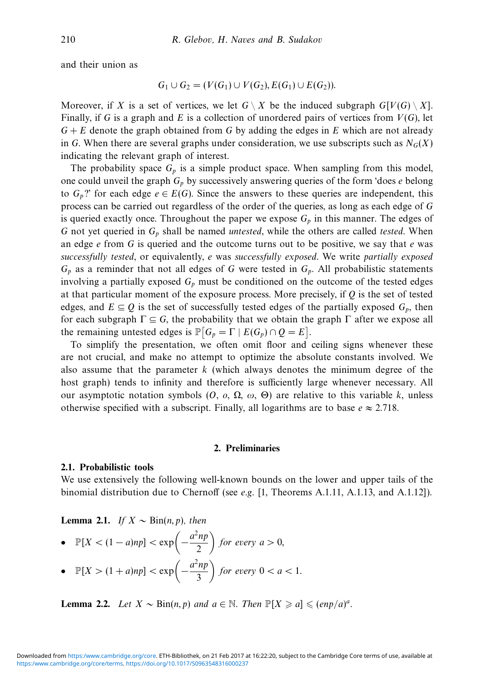and their union as

$$
G_1 \cup G_2 = (V(G_1) \cup V(G_2), E(G_1) \cup E(G_2)).
$$

Moreover, if *X* is a set of vertices, we let  $G \setminus X$  be the induced subgraph  $G[V(G) \setminus X]$ . Finally, if *G* is a graph and *E* is a collection of unordered pairs of vertices from  $V(G)$ , let  $G + E$  denote the graph obtained from G by adding the edges in E which are not already in *G*. When there are several graphs under consideration, we use subscripts such as  $N_G(X)$ indicating the relevant graph of interest.

The probability space  $G_p$  is a simple product space. When sampling from this model, one could unveil the graph  $G_p$  by successively answering queries of the form 'does  $e$  belong to  $G_p$ ?' for each edge  $e \in E(G)$ . Since the answers to these queries are independent, this process can be carried out regardless of the order of the queries, as long as each edge of *G* is queried exactly once. Throughout the paper we expose  $G_p$  in this manner. The edges of *G* not yet queried in *Gp* shall be named untested, while the others are called tested. When an edge *e* from *G* is queried and the outcome turns out to be positive, we say that *e* was successfully tested, or equivalently, *e* was successfully exposed. We write partially exposed *Gp* as a reminder that not all edges of *G* were tested in *Gp*. All probabilistic statements involving a partially exposed  $G_p$  must be conditioned on the outcome of the tested edges at that particular moment of the exposure process. More precisely, if *Q* is the set of tested edges, and  $E \subseteq Q$  is the set of successfully tested edges of the partially exposed  $G_p$ , then for each subgraph  $\Gamma \subseteq G$ , the probability that we obtain the graph  $\Gamma$  after we expose all the remaining untested edges is  $\mathbb{P}\left[G_p = \Gamma \mid E(G_p) \cap Q = E\right]$ .

To simplify the presentation, we often omit floor and ceiling signs whenever these are not crucial, and make no attempt to optimize the absolute constants involved. We also assume that the parameter *k* (which always denotes the minimum degree of the host graph) tends to infinity and therefore is sufficiently large whenever necessary. All our asymptotic notation symbols  $(0, o, \Omega, \omega, \Theta)$  are relative to this variable k, unless otherwise specified with a subscript. Finally, all logarithms are to base  $e \approx 2.718$ .

### **2. Preliminaries**

#### **2.1. Probabilistic tools**

We use extensively the following well-known bounds on the lower and upper tails of the binomial distribution due to Chernoff (see *e.g.* [1, Theorems A.1.11, A.1.13, and A.1.12]).

**Lemma 2.1.** If  $X \sim Bin(n, p)$ , then

• 
$$
\mathbb{P}[X < (1-a)np] < \exp\left(-\frac{a^2np}{2}\right)
$$
 for every  $a > 0$ ,

• 
$$
\mathbb{P}[X > (1+a)np] < \exp\left(-\frac{a^2np}{3}\right)
$$
 for every  $0 < a < 1$ .

**Lemma 2.2.** Let  $X \sim Bin(n, p)$  and  $a \in \mathbb{N}$ . Then  $\mathbb{P}[X \ge a] \le (enp/a)^a$ .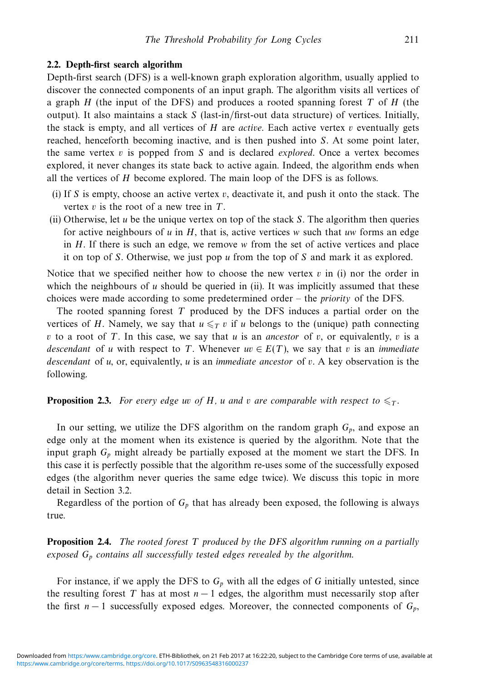### **2.2. Depth-first search algorithm**

Depth-first search (DFS) is a well-known graph exploration algorithm, usually applied to discover the connected components of an input graph. The algorithm visits all vertices of a graph *H* (the input of the DFS) and produces a rooted spanning forest *T* of *H* (the output). It also maintains a stack *S* (last-in/first-out data structure) of vertices. Initially, the stack is empty, and all vertices of *H* are active. Each active vertex *v* eventually gets reached, henceforth becoming inactive, and is then pushed into *S*. At some point later, the same vertex *v* is popped from *S* and is declared explored. Once a vertex becomes explored, it never changes its state back to active again. Indeed, the algorithm ends when all the vertices of *H* become explored. The main loop of the DFS is as follows.

- (i) If *S* is empty, choose an active vertex *v*, deactivate it, and push it onto the stack. The vertex *v* is the root of a new tree in *T*.
- (ii) Otherwise, let *u* be the unique vertex on top of the stack *S*. The algorithm then queries for active neighbours of *u* in *H*, that is, active vertices *w* such that *uw* forms an edge in *H*. If there is such an edge, we remove *w* from the set of active vertices and place it on top of *S*. Otherwise, we just pop *u* from the top of *S* and mark it as explored.

Notice that we specified neither how to choose the new vertex  $v$  in (i) nor the order in which the neighbours of *u* should be queried in (ii). It was implicitly assumed that these choices were made according to some predetermined order – the *priority* of the DFS.

The rooted spanning forest *T* produced by the DFS induces a partial order on the vertices of *H*. Namely, we say that  $u \leq_T v$  if *u* belongs to the (unique) path connecting *v* to a root of *T*. In this case, we say that *u* is an ancestor of *v*, or equivalently, *v* is a descendant of *u* with respect to *T*. Whenever  $uv \in E(T)$ , we say that *v* is an *immediate* descendant of *u*, or, equivalently, *u* is an immediate ancestor of *v*. A key observation is the following.

# **Proposition 2.3.** For every edge *uv* of *H*, *u* and *v* are comparable with respect to  $\leq_T$ .

In our setting, we utilize the DFS algorithm on the random graph  $G_p$ , and expose an edge only at the moment when its existence is queried by the algorithm. Note that the input graph *Gp* might already be partially exposed at the moment we start the DFS. In this case it is perfectly possible that the algorithm re-uses some of the successfully exposed edges (the algorithm never queries the same edge twice). We discuss this topic in more detail in Section 3.2.

Regardless of the portion of  $G_p$  that has already been exposed, the following is always true.

**Proposition 2.4.** The rooted forest *T* produced by the DFS algorithm running on a partially exposed G<sub>p</sub> contains all successfully tested edges revealed by the algorithm.

For instance, if we apply the DFS to  $G_p$  with all the edges of G initially untested, since the resulting forest *T* has at most  $n - 1$  edges, the algorithm must necessarily stop after the first  $n - 1$  successfully exposed edges. Moreover, the connected components of  $G_p$ ,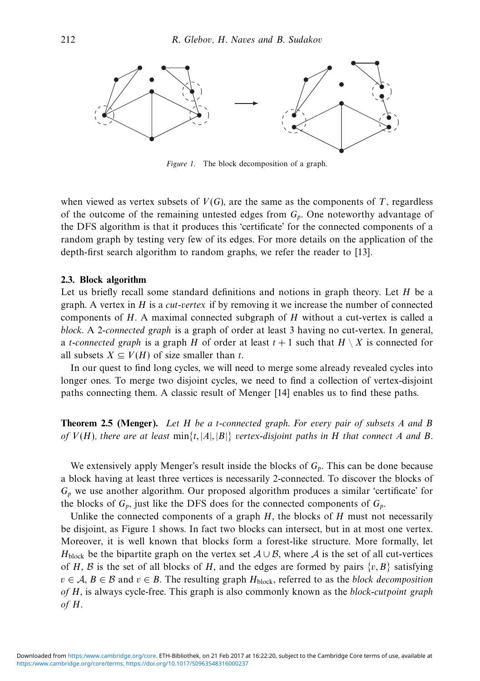

Figure 1. The block decomposition of a graph.

when viewed as vertex subsets of  $V(G)$ , are the same as the components of *T*, regardless of the outcome of the remaining untested edges from *Gp*. One noteworthy advantage of the DFS algorithm is that it produces this 'certificate' for the connected components of a random graph by testing very few of its edges. For more details on the application of the depth-first search algorithm to random graphs, we refer the reader to [13].

# **2.3. Block algorithm**

Let us briefly recall some standard definitions and notions in graph theory. Let *H* be a graph. A vertex in *H* is a cut-vertex if by removing it we increase the number of connected components of *H*. A maximal connected subgraph of *H* without a cut-vertex is called a block. A 2-connected graph is a graph of order at least 3 having no cut-vertex. In general, a *t*-connected graph is a graph *H* of order at least  $t + 1$  such that  $H \setminus X$  is connected for all subsets  $X \subseteq V(H)$  of size smaller than *t*.

In our quest to find long cycles, we will need to merge some already revealed cycles into longer ones. To merge two disjoint cycles, we need to find a collection of vertex-disjoint paths connecting them. A classic result of Menger [14] enables us to find these paths.

**Theorem 2.5 (Menger).** Let *H* be a *t*-connected graph. For every pair of subsets *A* and *B* of  $V(H)$ , there are at least  $\min\{t, |A|, |B|\}$  vertex-disjoint paths in *H* that connect *A* and *B*.

We extensively apply Menger's result inside the blocks of  $G_p$ . This can be done because a block having at least three vertices is necessarily 2-connected. To discover the blocks of *Gp* we use another algorithm. Our proposed algorithm produces a similar 'certificate' for the blocks of  $G_p$ , just like the DFS does for the connected components of  $G_p$ .

Unlike the connected components of a graph *H*, the blocks of *H* must not necessarily be disjoint, as Figure 1 shows. In fact two blocks can intersect, but in at most one vertex. Moreover, it is well known that blocks form a forest-like structure. More formally, let *H*<sub>block</sub> be the bipartite graph on the vertex set  $A \cup B$ , where A is the set of all cut-vertices of *H*, *B* is the set of all blocks of *H*, and the edges are formed by pairs  $\{v, B\}$  satisfying  $v \in A$ ,  $B \in B$  and  $v \in B$ . The resulting graph  $H_{block}$ , referred to as the block decomposition of *H*, is always cycle-free. This graph is also commonly known as the block-cutpoint graph of *H*.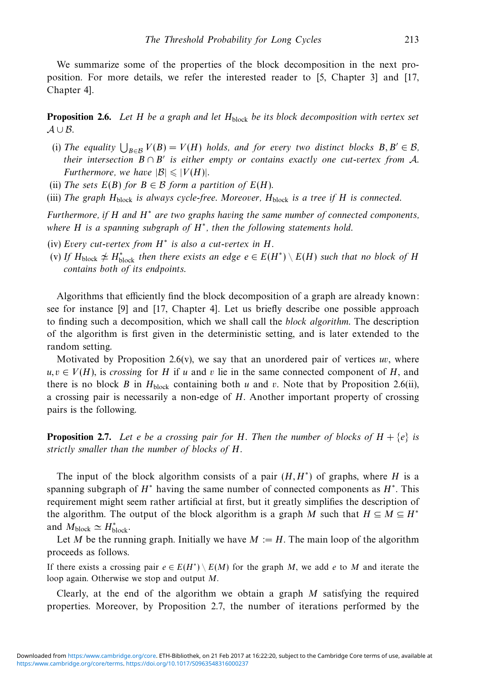We summarize some of the properties of the block decomposition in the next proposition. For more details, we refer the interested reader to [5, Chapter 3] and [17, Chapter 4].

**Proposition 2.6.** Let *H* be a graph and let  $H_{block}$  be its block decomposition with vertex set  $A \cup B$ .

- (i) The equality  $\bigcup_{B \in \mathcal{B}} V(B) = V(H)$  holds, and for every two distinct blocks  $B, B' \in \mathcal{B}$ , their intersection  $B \cap B'$  is either empty or contains exactly one cut-vertex from A. Furthermore, we have  $|\mathcal{B}| \leq |V(H)|$ .
- (ii) The sets  $E(B)$  for  $B \in \mathcal{B}$  form a partition of  $E(H)$ .
- (iii) The graph  $H_{block}$  is always cycle-free. Moreover,  $H_{block}$  is a tree if *H* is connected.

Furthermore, if *H* and *H*<sup>∗</sup> are two graphs having the same number of connected components, where *H* is a spanning subgraph of *H*<sup>∗</sup>, then the following statements hold.

- (iv) Every cut-vertex from *H*<sup>∗</sup> is also a cut-vertex in *H*.
- (v) If  $H_{block} \neq H_{block}^{*}$  then there exists an edge  $e \in E(H^{*}) \setminus E(H)$  such that no block of *H* contains both of its endpoints.

Algorithms that efficiently find the block decomposition of a graph are already known: see for instance [9] and [17, Chapter 4]. Let us briefly describe one possible approach to finding such a decomposition, which we shall call the block algorithm. The description of the algorithm is first given in the deterministic setting, and is later extended to the random setting.

Motivated by Proposition 2.6(v), we say that an unordered pair of vertices  $uv$ , where  $u, v \in V(H)$ , is crossing for *H* if *u* and *v* lie in the same connected component of *H*, and there is no block *B* in  $H_{block}$  containing both *u* and *v*. Note that by Proposition 2.6(ii), a crossing pair is necessarily a non-edge of *H*. Another important property of crossing pairs is the following.

**Proposition 2.7.** Let *e* be a crossing pair for *H*. Then the number of blocks of  $H + \{e\}$  is strictly smaller than the number of blocks of *H*.

The input of the block algorithm consists of a pair  $(H, H^*)$  of graphs, where *H* is a spanning subgraph of *H*<sup>∗</sup> having the same number of connected components as *H*<sup>∗</sup>. This requirement might seem rather artificial at first, but it greatly simplifies the description of the algorithm. The output of the block algorithm is a graph *M* such that  $H \subseteq M \subseteq H^*$ and  $M_{\text{block}} \simeq H_{\text{block}}^*$ .

Let *M* be the running graph. Initially we have  $M := H$ . The main loop of the algorithm proceeds as follows.

If there exists a crossing pair  $e \in E(H^*) \setminus E(M)$  for the graph *M*, we add *e* to *M* and iterate the loop again. Otherwise we stop and output *M*.

Clearly, at the end of the algorithm we obtain a graph *M* satisfying the required properties. Moreover, by Proposition 2.7, the number of iterations performed by the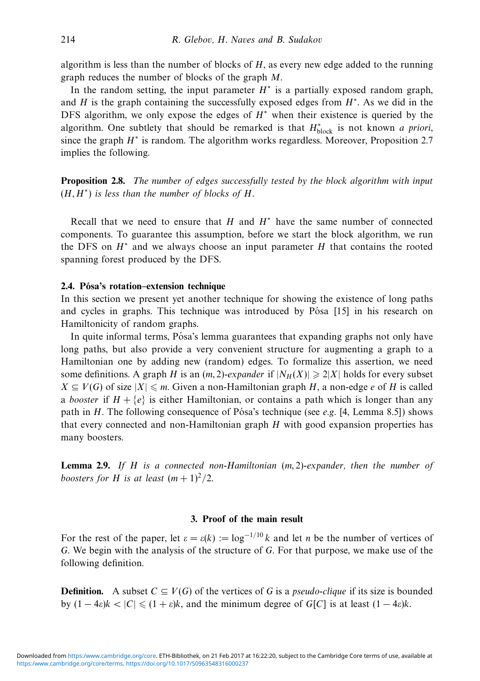algorithm is less than the number of blocks of *H*, as every new edge added to the running graph reduces the number of blocks of the graph *M*.

In the random setting, the input parameter  $H^*$  is a partially exposed random graph, and *H* is the graph containing the successfully exposed edges from  $H^*$ . As we did in the DFS algorithm, we only expose the edges of  $H^*$  when their existence is queried by the algorithm. One subtlety that should be remarked is that  $H_{\text{block}}^*$  is not known *a priori*, since the graph  $H^*$  is random. The algorithm works regardless. Moreover, Proposition 2.7 implies the following.

**Proposition 2.8.** The number of edges successfully tested by the block algorithm with input  $(H, H^*)$  is less than the number of blocks of  $H$ .

Recall that we need to ensure that *H* and *H*<sup>∗</sup> have the same number of connected components. To guarantee this assumption, before we start the block algorithm, we run the DFS on *H*<sup>∗</sup> and we always choose an input parameter *H* that contains the rooted spanning forest produced by the DFS.

# **2.4. Posa's rotation–extension technique ´**

In this section we present yet another technique for showing the existence of long paths and cycles in graphs. This technique was introduced by Pósa [15] in his research on Hamiltonicity of random graphs.

In quite informal terms, Posa's lemma guarantees that expanding graphs not only have long paths, but also provide a very convenient structure for augmenting a graph to a Hamiltonian one by adding new (random) edges. To formalize this assertion, we need some definitions. A graph *H* is an  $(m, 2)$ -expander if  $|N_H(X)| \geq 2|X|$  holds for every subset *X* ⊆ *V*(*G*) of size  $|X|$  ≤ *m*. Given a non-Hamiltonian graph *H*, a non-edge *e* of *H* is called a *booster* if  $H + \{e\}$  is either Hamiltonian, or contains a path which is longer than any path in  $H$ . The following consequence of Pósa's technique (see  $e.g.$  [4, Lemma 8.5]) shows that every connected and non-Hamiltonian graph *H* with good expansion properties has many boosters.

**Lemma 2.9.** If *H* is a connected non-Hamiltonian (*m,* 2)-expander, then the number of boosters for *H* is at least  $(m+1)^2/2$ .

## **3. Proof of the main result**

For the rest of the paper, let  $\varepsilon = \varepsilon(k) := \log^{-1/10} k$  and let *n* be the number of vertices of *G*. We begin with the analysis of the structure of *G*. For that purpose, we make use of the following definition.

**Definition.** A subset  $C \subseteq V(G)$  of the vertices of G is a *pseudo-clique* if its size is bounded by  $(1 - 4\varepsilon)k < |C| \leq (1 + \varepsilon)k$ , and the minimum degree of  $G[C]$  is at least  $(1 - 4\varepsilon)k$ .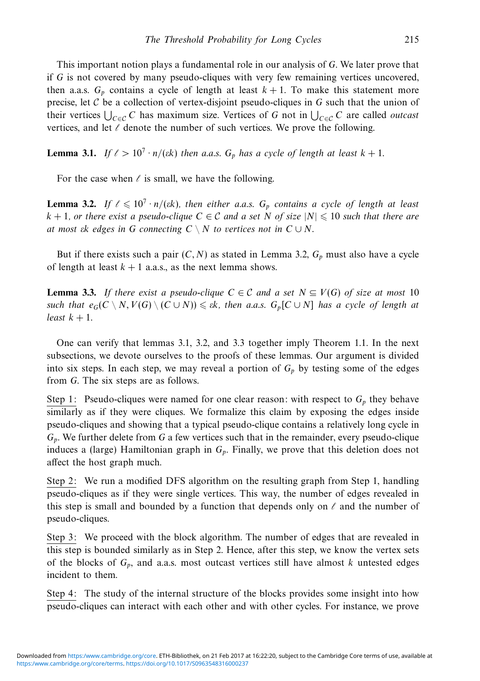This important notion plays a fundamental role in our analysis of *G*. We later prove that if *G* is not covered by many pseudo-cliques with very few remaining vertices uncovered, then a.a.s.  $G_p$  contains a cycle of length at least  $k + 1$ . To make this statement more precise, let  $C$  be a collection of vertex-disjoint pseudo-cliques in  $G$  such that the union of their vertices  $\bigcup_{C \in \mathcal{C}} C$  has maximum size. Vertices of *G* not in  $\bigcup_{C \in \mathcal{C}} C$  are called *outcast* vertices, and let  $\ell$  denote the number of such vertices. We prove the following.

**Lemma 3.1.** If  $\ell > 10^7 \cdot n/(ek)$  then a.a.s.  $G_p$  has a cycle of length at least  $k + 1$ .

For the case when  $\ell$  is small, we have the following.

**Lemma 3.2.** If  $\ell \leq 10^7 \cdot n/(ek)$ , then either a.a.s.  $G_p$  contains a cycle of length at least  $k + 1$ , or there exist a pseudo-clique  $C \in \mathcal{C}$  and a set *N* of size  $|N| \leq 10$  such that there are at most *εk* edges in *G* connecting  $C \setminus N$  to vertices not in  $C \cup N$ .

But if there exists such a pair  $(C, N)$  as stated in Lemma 3.2,  $G_p$  must also have a cycle of length at least  $k + 1$  a.a.s., as the next lemma shows.

**Lemma 3.3.** If there exist a pseudo-clique  $C \in \mathcal{C}$  and a set  $N \subseteq V(G)$  of size at most 10 such that  $e_G(C \setminus N, V(G) \setminus (C \cup N)) \leq k$ , then a.a.s.  $G_p[C \cup N]$  has a cycle of length at least  $k + 1$ .

One can verify that lemmas 3.1, 3.2, and 3.3 together imply Theorem 1.1. In the next subsections, we devote ourselves to the proofs of these lemmas. Our argument is divided into six steps. In each step, we may reveal a portion of  $G_p$  by testing some of the edges from *G*. The six steps are as follows.

Step 1: Pseudo-cliques were named for one clear reason: with respect to  $G_p$  they behave similarly as if they were cliques. We formalize this claim by exposing the edges inside pseudo-cliques and showing that a typical pseudo-clique contains a relatively long cycle in *Gp*. We further delete from *G* a few vertices such that in the remainder, every pseudo-clique induces a (large) Hamiltonian graph in *Gp*. Finally, we prove that this deletion does not affect the host graph much.

Step 2: We run a modified DFS algorithm on the resulting graph from Step 1, handling pseudo-cliques as if they were single vertices. This way, the number of edges revealed in this step is small and bounded by a function that depends only on  $\ell$  and the number of pseudo-cliques.

Step 3: We proceed with the block algorithm. The number of edges that are revealed in this step is bounded similarly as in Step 2. Hence, after this step, we know the vertex sets of the blocks of *Gp*, and a.a.s. most outcast vertices still have almost *k* untested edges incident to them.

Step 4: The study of the internal structure of the blocks provides some insight into how pseudo-cliques can interact with each other and with other cycles. For instance, we prove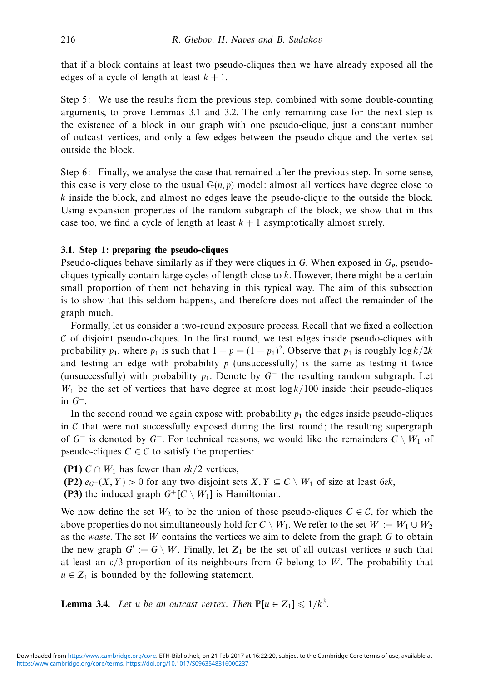that if a block contains at least two pseudo-cliques then we have already exposed all the edges of a cycle of length at least  $k + 1$ .

Step 5: We use the results from the previous step, combined with some double-counting arguments, to prove Lemmas 3.1 and 3.2. The only remaining case for the next step is the existence of a block in our graph with one pseudo-clique, just a constant number of outcast vertices, and only a few edges between the pseudo-clique and the vertex set outside the block.

Step 6: Finally, we analyse the case that remained after the previous step. In some sense, this case is very close to the usual  $\mathbb{G}(n, p)$  model: almost all vertices have degree close to *k* inside the block, and almost no edges leave the pseudo-clique to the outside the block. Using expansion properties of the random subgraph of the block, we show that in this case too, we find a cycle of length at least  $k + 1$  asymptotically almost surely.

# **3.1. Step 1: preparing the pseudo-cliques**

Pseudo-cliques behave similarly as if they were cliques in *G*. When exposed in *Gp*, pseudocliques typically contain large cycles of length close to *k*. However, there might be a certain small proportion of them not behaving in this typical way. The aim of this subsection is to show that this seldom happens, and therefore does not affect the remainder of the graph much.

Formally, let us consider a two-round exposure process. Recall that we fixed a collection  $\mathcal C$  of disjoint pseudo-cliques. In the first round, we test edges inside pseudo-cliques with probability  $p_1$ , where  $p_1$  is such that  $1 - p = (1 - p_1)^2$ . Observe that  $p_1$  is roughly  $\log k/2k$ and testing an edge with probability  $p$  (unsuccessfully) is the same as testing it twice (unsuccessfully) with probability  $p_1$ . Denote by  $G^-$  the resulting random subgraph. Let  $W_1$  be the set of vertices that have degree at most  $\log k/100$  inside their pseudo-cliques in *G*<sup>−</sup>.

In the second round we again expose with probability  $p_1$  the edges inside pseudo-cliques in  $C$  that were not successfully exposed during the first round; the resulting supergraph of *G*<sup>−</sup> is denoted by *G*+. For technical reasons, we would like the remainders *C* \ *W*<sup>1</sup> of pseudo-cliques  $C \in \mathcal{C}$  to satisfy the properties:

**(P1)**  $C \cap W_1$  has fewer than  $\frac{\varepsilon k}{2}$  vertices,

**(P2)**  $e_G$ −(*X,Y*) > 0 for any two disjoint sets *X,Y*  $\subseteq$  *C* \ *W*<sub>1</sub> of size at least 6*εk*,

**(P3)** the induced graph  $G^+[C \setminus W_1]$  is Hamiltonian.

We now define the set  $W_2$  to be the union of those pseudo-cliques  $C \in \mathcal{C}$ , for which the above properties do not simultaneously hold for *C* \ *W*<sub>1</sub>. We refer to the set *W* := *W*<sub>1</sub> ∪ *W*<sub>2</sub> as the waste. The set *W* contains the vertices we aim to delete from the graph *G* to obtain the new graph  $G' := G \setminus W$ . Finally, let  $Z_1$  be the set of all outcast vertices *u* such that at least an *ε/*3-proportion of its neighbours from *G* belong to *W*. The probability that  $u \in Z_1$  is bounded by the following statement.

**Lemma 3.4.** Let *u* be an outcast vertex. Then  $\mathbb{P}[u \in Z_1] \leq 1/k^3$ .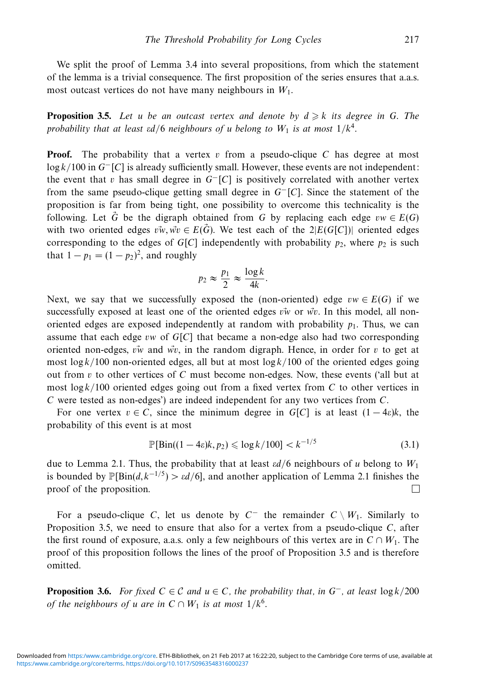We split the proof of Lemma 3.4 into several propositions, from which the statement of the lemma is a trivial consequence. The first proposition of the series ensures that a.a.s. most outcast vertices do not have many neighbours in *W*1.

**Proposition 3.5.** Let *u* be an outcast vertex and denote by  $d \geq k$  its degree in G. The probability that at least  $\frac{ed}{6}$  neighbours of *u* belong to  $W_1$  is at most  $1/k^4$ .

**Proof.** The probability that a vertex *v* from a pseudo-clique *C* has degree at most log *k/*100 in *G*−[*C*] is already sufficiently small. However, these events are not independent: the event that *v* has small degree in  $G<sup>-</sup>[C]$  is positively correlated with another vertex from the same pseudo-clique getting small degree in *G*<sup>−</sup>[*C*]. Since the statement of the proposition is far from being tight, one possibility to overcome this technicality is the following. Let  $\vec{G}$  be the digraph obtained from *G* by replacing each edge  $vw \in E(G)$ with two oriented edges  $v\tilde{w}$ ,  $\tilde{w}v \in E(\tilde{G})$ . We test each of the 2| $E(G[C])$ | oriented edges corresponding to the edges of  $G[C]$  independently with probability  $p_2$ , where  $p_2$  is such that  $1 - p_1 = (1 - p_2)^2$ , and roughly

$$
p_2 \approx \frac{p_1}{2} \approx \frac{\log k}{4k}.
$$

Next, we say that we successfully exposed the (non-oriented) edge  $vw \in E(G)$  if we successfully exposed at least one of the oriented edges  $v\ddot{w}$  or  $\vec{w}v$ . In this model, all nonoriented edges are exposed independently at random with probability  $p_1$ . Thus, we can assume that each edge *vw* of *G*[*C*] that became a non-edge also had two corresponding oriented non-edges,  $v\dot{w}$  and  $\dot{w}v$ , in the random digraph. Hence, in order for *v* to get at most  $\log k/100$  non-oriented edges, all but at most  $\log k/100$  of the oriented edges going out from *v* to other vertices of *C* must become non-edges. Now, these events ('all but at most log *k/*100 oriented edges going out from a fixed vertex from *C* to other vertices in *C* were tested as non-edges') are indeed independent for any two vertices from *C*.

For one vertex  $v \in C$ , since the minimum degree in  $G[C]$  is at least  $(1-4\varepsilon)k$ , the probability of this event is at most

$$
\mathbb{P}[\text{Bin}((1-4\varepsilon)k, p_2) \leq \log k / 100] < k^{-1/5} \tag{3.1}
$$

due to Lemma 2.1. Thus, the probability that at least *εd/*6 neighbours of *u* belong to *W*<sup>1</sup> is bounded by  $\mathbb{P}[\text{Bin}(d, k^{-1/5}) > \varepsilon d/6]$ , and another application of Lemma 2.1 finishes the proof of the proposition.  $\Box$ 

For a pseudo-clique *C*, let us denote by  $C^-$  the remainder  $C \setminus W_1$ . Similarly to Proposition 3.5, we need to ensure that also for a vertex from a pseudo-clique *C*, after the first round of exposure, a.a.s. only a few neighbours of this vertex are in  $C \cap W_1$ . The proof of this proposition follows the lines of the proof of Proposition 3.5 and is therefore omitted.

**Proposition 3.6.** For fixed  $C \in \mathcal{C}$  and  $u \in C$ , the probability that, in  $G^-$ , at least  $\log k/200$ *of the neighbours of u are in*  $C \cap W_1$  *is at most*  $1/k^6$ .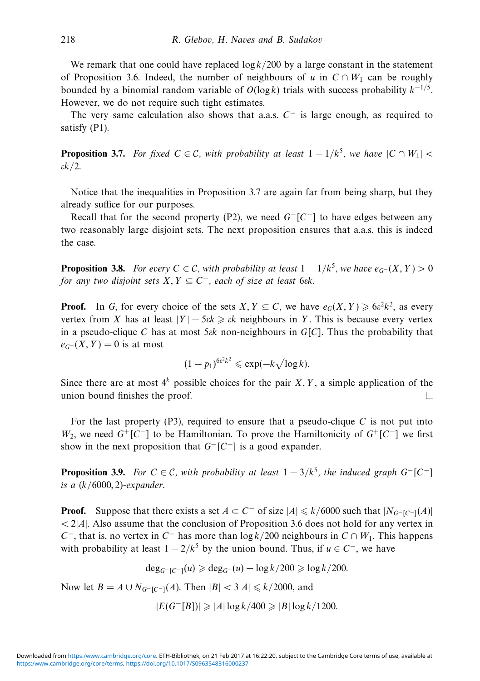We remark that one could have replaced log *k*/200 by a large constant in the statement of Proposition 3.6. Indeed, the number of neighbours of *u* in  $C \cap W_1$  can be roughly bounded by a binomial random variable of  $O(\log k)$  trials with success probability  $k^{-1/5}$ . However, we do not require such tight estimates.

The very same calculation also shows that a.a.s. *C*<sup>−</sup> is large enough, as required to satisfy (P1).

**Proposition 3.7.** For fixed  $C \in \mathcal{C}$ , with probability at least  $1 - 1/k^5$ , we have  $|C \cap W_1|$ *εk/*2.

Notice that the inequalities in Proposition 3.7 are again far from being sharp, but they already suffice for our purposes.

Recall that for the second property (P2), we need *G*<sup>−</sup>[*C*<sup>−</sup>] to have edges between any two reasonably large disjoint sets. The next proposition ensures that a.a.s. this is indeed the case.

**Proposition 3.8.** For every  $C \in \mathcal{C}$ , with probability at least  $1 - 1/k^5$ , we have  $e_G$ − $(X, Y) > 0$ for any two disjoint sets  $X, Y \subseteq C^-$ , each of size at least 6 $\epsilon k$ .

**Proof.** In *G*, for every choice of the sets  $X, Y \subseteq C$ , we have  $e_G(X, Y) \geq 6\epsilon^2 k^2$ , as every vertex from *X* has at least  $|Y| - 5\varepsilon k \geq \varepsilon k$  neighbours in *Y*. This is because every vertex in a pseudo-clique *C* has at most 5*εk* non-neighbours in *G*[*C*]. Thus the probability that  $e_{G}$ − $(X, Y)$  = 0 is at most

$$
(1-p_1)^{6\varepsilon^2 k^2} \leqslant \exp(-k\sqrt{\log k}).
$$

Since there are at most  $4^k$  possible choices for the pair *X*, *Y*, a simple application of the union bound finishes the proof.  $\Box$ 

For the last property (P3), required to ensure that a pseudo-clique *C* is not put into *W*<sub>2</sub>, we need *G*<sup>+</sup>[*C*<sup>−</sup>] to be Hamiltonian. To prove the Hamiltonicity of *G*<sup>+</sup>[*C*<sup>−</sup>] we first show in the next proposition that  $G^{-}[C^{-}]$  is a good expander.

**Proposition 3.9.** For  $C \in \mathcal{C}$ , with probability at least  $1 - 3/k^5$ , the induced graph  $G^{-}[C^{-}]$ is a (*k/*6000*,* 2)-expander.

**Proof.** Suppose that there exists a set  $A \subset C^-$  of size  $|A| \le k/6000$  such that  $|N_{G-1}C^{-1}(A)|$ *<* 2|*A*|. Also assume that the conclusion of Proposition 3.6 does not hold for any vertex in *C*<sup>−</sup>, that is, no vertex in *C*<sup>−</sup> has more than log *k/*200 neighbours in *C* ∩ *W*1. This happens with probability at least  $1 - 2/k^5$  by the union bound. Thus, if  $u \in C^-$ , we have

$$
\deg_{G^{-}[C^{-}]}(u) \geq \deg_{G^{-}}(u) - \log k/200 \geq \log k/200.
$$

Now let *B* = *A* ∪ *N*<sub>*G*</sub>−<sub>[*C*−]</sub>(*A*). Then  $|B|$  < 3|*A*| ≤ *k*/2000, and

$$
|E(G^{-}[B])| \geq |A| \log k/400 \geq |B| \log k/1200.
$$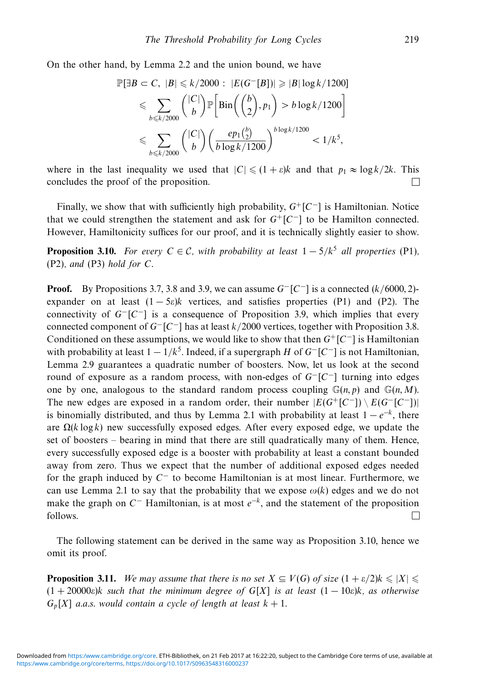On the other hand, by Lemma 2.2 and the union bound, we have

$$
\mathbb{P}[\exists B \subset C, |B| \le k/2000 : |E(G^{-}[B])| \ge |B| \log k/1200]
$$
  
\$\le \sum\_{b \le k/2000} {\binom{|C|}{b}} \mathbb{P}\bigg[\text{Bin}\bigg(\binom{b}{2}, p\_1\bigg) > b \log k/1200\bigg] \$>\$\le \sum\_{b \le k/2000} {\binom{|C|}{b}} \bigg(\frac{ep\_1\binom{b}{2}}{b \log k/1200}\bigg)^{b \log k/1200} < 1/k^5\$,

where in the last inequality we used that  $|C| \leq (1 + \varepsilon)k$  and that  $p_1 \approx \log k/2k$ . This concludes the proof of the proposition.  $\Box$ 

Finally, we show that with sufficiently high probability, *G*+[*C*<sup>−</sup>] is Hamiltonian. Notice that we could strengthen the statement and ask for  $G^+[C^-]$  to be Hamilton connected. However, Hamiltonicity suffices for our proof, and it is technically slightly easier to show.

**Proposition 3.10.** For every  $C \in \mathcal{C}$ , with probability at least  $1 - 5/k^5$  all properties (P1). (P2), and (P3) hold for *C*.

**Proof.** By Propositions 3.7, 3.8 and 3.9, we can assume  $G^{-}[C^{-}]$  is a connected  $(k/6000, 2)$ expander on at least  $(1 - 5\varepsilon)k$  vertices, and satisfies properties (P1) and (P2). The connectivity of *G*<sup>−</sup>[*C*<sup>−</sup>] is a consequence of Proposition 3.9, which implies that every connected component of *G*<sup>−</sup>[*C*<sup>−</sup>] has at least *k/*2000 vertices, together with Proposition 3.8. Conditioned on these assumptions, we would like to show that then *G*+[*C*<sup>−</sup>] is Hamiltonian with probability at least  $1 - 1/k^5$ . Indeed, if a supergraph *H* of  $G^{-}[C^{-}]$  is not Hamiltonian, Lemma 2.9 guarantees a quadratic number of boosters. Now, let us look at the second round of exposure as a random process, with non-edges of *G*<sup>−</sup>[*C*<sup>−</sup>] turning into edges one by one, analogous to the standard random process coupling  $\mathbb{G}(n, p)$  and  $\mathbb{G}(n, M)$ . The new edges are exposed in a random order, their number  $|E(G^+[C^-]) \setminus E(G^-[C^-])|$ is binomially distributed, and thus by Lemma 2.1 with probability at least  $1 - e^{-k}$ , there are Ω(*k* log *k*) new successfully exposed edges. After every exposed edge, we update the set of boosters – bearing in mind that there are still quadratically many of them. Hence, every successfully exposed edge is a booster with probability at least a constant bounded away from zero. Thus we expect that the number of additional exposed edges needed for the graph induced by *C*<sup>−</sup> to become Hamiltonian is at most linear. Furthermore, we can use Lemma 2.1 to say that the probability that we expose  $\omega(k)$  edges and we do not make the graph on *C*<sup>−</sup> Hamiltonian, is at most *e*<sup>−</sup>*<sup>k</sup>*, and the statement of the proposition follows. П

The following statement can be derived in the same way as Proposition 3.10, hence we omit its proof.

**Proposition 3.11.** We may assume that there is no set  $X \subseteq V(G)$  of size  $(1 + \varepsilon/2)k \le |X| \le$  $(1 + 20000\varepsilon)$ *k* such that the minimum degree of  $G[X]$  is at least  $(1 - 10\varepsilon)$ *k*, as otherwise  $G_p[X]$  a.a.s. would contain a cycle of length at least  $k + 1$ .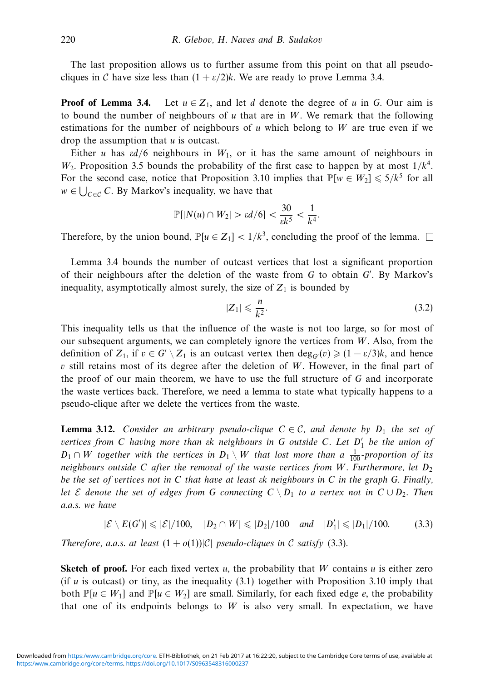The last proposition allows us to further assume from this point on that all pseudocliques in C have size less than  $(1 + \varepsilon/2)k$ . We are ready to prove Lemma 3.4.

**Proof of Lemma 3.4.** Let  $u \in Z_1$ , and let *d* denote the degree of *u* in *G*. Our aim is to bound the number of neighbours of *u* that are in *W*. We remark that the following estimations for the number of neighbours of *u* which belong to *W* are true even if we drop the assumption that *u* is outcast.

Either *u* has  $\varepsilon d/6$  neighbours in  $W_1$ , or it has the same amount of neighbours in  $W_2$ . Proposition 3.5 bounds the probability of the first case to happen by at most  $1/k<sup>4</sup>$ . For the second case, notice that Proposition 3.10 implies that  $\mathbb{P}[w \in W_2] \le 5/k^5$  for all  $w \in \bigcup_{C \in \mathcal{C}} C$ . By Markov's inequality, we have that

$$
\mathbb{P}[|N(u) \cap W_2| > \varepsilon d/6] < \frac{30}{\varepsilon k^5} < \frac{1}{k^4}.
$$

Therefore, by the union bound,  $\mathbb{P}[u \in Z_1] < 1/k^3$ , concluding the proof of the lemma.  $\Box$ 

Lemma 3.4 bounds the number of outcast vertices that lost a significant proportion of their neighbours after the deletion of the waste from *G* to obtain *G* . By Markov's inequality, asymptotically almost surely, the size of  $Z_1$  is bounded by

$$
|Z_1| \leqslant \frac{n}{k^2}.\tag{3.2}
$$

This inequality tells us that the influence of the waste is not too large, so for most of our subsequent arguments, we can completely ignore the vertices from *W*. Also, from the definition of  $Z_1$ , if  $v \in G' \setminus Z_1$  is an outcast vertex then  $deg_{G'}(v) \geq (1 - \varepsilon/3)k$ , and hence *v* still retains most of its degree after the deletion of *W*. However, in the final part of the proof of our main theorem, we have to use the full structure of *G* and incorporate the waste vertices back. Therefore, we need a lemma to state what typically happens to a pseudo-clique after we delete the vertices from the waste.

**Lemma 3.12.** Consider an arbitrary pseudo-clique  $C \in \mathcal{C}$ , and denote by  $D_1$  the set of vertices from *C* having more than *εk* neighbours in *G* outside *C*. Let *D* <sup>1</sup> be the union of  $D_1 \cap W$  together with the vertices in  $D_1 \setminus W$  that lost more than a  $\frac{1}{100}$ -proportion of its neighbours outside *C* after the removal of the waste vertices from *W*. Furthermore, let *D*<sup>2</sup> be the set of vertices not in *C* that have at least *εk* neighbours in *C* in the graph *G*. Finally, let E denote the set of edges from G connecting  $C \setminus D_1$  to a vertex not in  $C \cup D_2$ . Then a.a.s. we have

$$
|\mathcal{E}\setminus E(G')|\leqslant |\mathcal{E}|/100, \quad |D_2\cap W|\leqslant |D_2|/100 \quad \text{and} \quad |D_1'|\leqslant |D_1|/100. \tag{3.3}
$$

Therefore, a.a.s. at least  $(1 + o(1))|\mathcal{C}|$  pseudo-cliques in C satisfy (3.3).

**Sketch of proof.** For each fixed vertex *u*, the probability that *W* contains *u* is either zero (if *u* is outcast) or tiny, as the inequality (3.1) together with Proposition 3.10 imply that both  $\mathbb{P}[u \in W_1]$  and  $\mathbb{P}[u \in W_2]$  are small. Similarly, for each fixed edge *e*, the probability that one of its endpoints belongs to  $W$  is also very small. In expectation, we have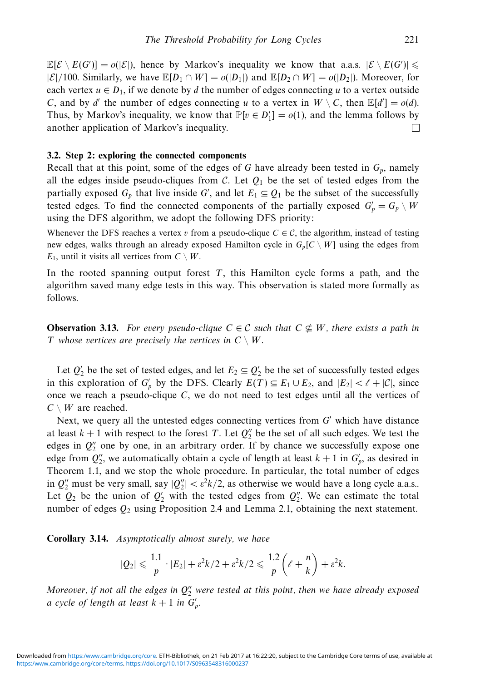$\mathbb{E}[\mathcal{E} \setminus E(G')] = o(|\mathcal{E}|)$ , hence by Markov's inequality we know that a.a.s.  $|\mathcal{E} \setminus E(G')| \le$  $|\mathcal{E}|/100$ . Similarly, we have  $\mathbb{E}[D_1 \cap W] = o(|D_1|)$  and  $\mathbb{E}[D_2 \cap W] = o(|D_2|)$ . Moreover, for each vertex  $u \in D_1$ , if we denote by *d* the number of edges connecting *u* to a vertex outside *C*, and by *d'* the number of edges connecting *u* to a vertex in  $W \setminus C$ , then  $\mathbb{E}[d'] = o(d)$ . Thus, by Markov's inequality, we know that  $\mathbb{P}[v \in D'_1] = o(1)$ , and the lemma follows by another application of Markov's inequality.

# **3.2. Step 2: exploring the connected components**

Recall that at this point, some of the edges of  $G$  have already been tested in  $G_p$ , namely all the edges inside pseudo-cliques from  $C$ . Let  $Q_1$  be the set of tested edges from the partially exposed  $G_p$  that live inside  $G'$ , and let  $E_1 \subseteq Q_1$  be the subset of the successfully tested edges. To find the connected components of the partially exposed  $G'_p = G_p \setminus W$ using the DFS algorithm, we adopt the following DFS priority:

Whenever the DFS reaches a vertex *v* from a pseudo-clique  $C \in \mathcal{C}$ , the algorithm, instead of testing new edges, walks through an already exposed Hamilton cycle in  $G_p[C \setminus W]$  using the edges from  $E_1$ , until it visits all vertices from  $C \setminus W$ .

In the rooted spanning output forest *T*, this Hamilton cycle forms a path, and the algorithm saved many edge tests in this way. This observation is stated more formally as follows.

**Observation 3.13.** For every pseudo-clique  $C \in \mathcal{C}$  such that  $C \not\subseteq W$ , there exists a path in *T* whose vertices are precisely the vertices in  $C \setminus W$ .

Let  $Q'_2$  be the set of tested edges, and let  $E_2 \subseteq Q'_2$  be the set of successfully tested edges in this exploration of  $G_p'$  by the DFS. Clearly  $E(T) \subseteq E_1 \cup E_2$ , and  $|E_2| < \ell + |\mathcal{C}|$ , since once we reach a pseudo-clique *C*, we do not need to test edges until all the vertices of *C* \ *W* are reached.

Next, we query all the untested edges connecting vertices from G' which have distance at least  $k + 1$  with respect to the forest *T*. Let  $Q_2^{\prime\prime}$  be the set of all such edges. We test the edges in  $Q_2$ <sup>*''*</sup> one by one, in an arbitrary order. If by chance we successfully expose one edge from  $Q_2^{\prime\prime}$ , we automatically obtain a cycle of length at least  $k + 1$  in  $G_p^{\prime}$ , as desired in Theorem 1.1, and we stop the whole procedure. In particular, the total number of edges in  $Q_2''$  must be very small, say  $|Q_2''| < \varepsilon^2 k/2$ , as otherwise we would have a long cycle a.a.s.. Let  $Q_2$  be the union of  $Q'_2$  with the tested edges from  $Q''_2$ . We can estimate the total number of edges *Q*<sup>2</sup> using Proposition 2.4 and Lemma 2.1, obtaining the next statement.

**Corollary 3.14.** Asymptotically almost surely, we have

$$
|Q_2| \leq 1.1 \cdot |E_2| + \varepsilon^2 k/2 + \varepsilon^2 k/2 \leq \frac{1.2}{p} \left( \ell + \frac{n}{k} \right) + \varepsilon^2 k.
$$

Moreover, if not all the edges in  $\mathcal{Q}''_2$  were tested at this point, then we have already exposed a cycle of length at least  $k + 1$  in  $G_p'$ .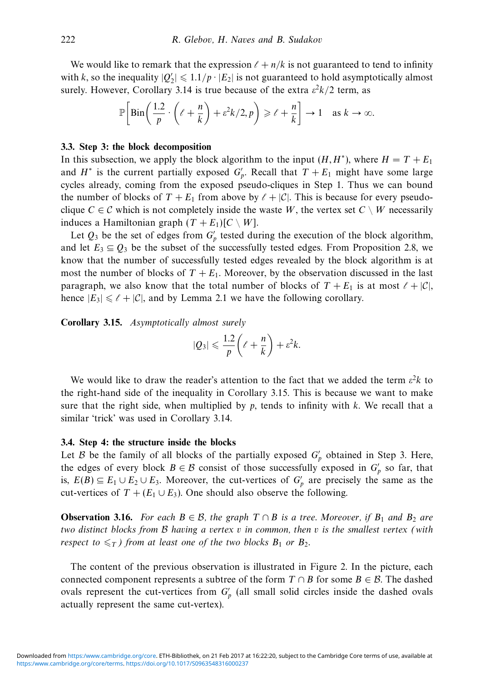We would like to remark that the expression  $\ell + n/k$  is not guaranteed to tend to infinity with *k*, so the inequality  $|Q'_2| \leq 1.1/p \cdot |E_2|$  is not guaranteed to hold asymptotically almost surely. However, Corollary 3.14 is true because of the extra  $\varepsilon^2 k/2$  term, as

$$
\mathbb{P}\bigg[\text{Bin}\bigg(\frac{1.2}{p}\cdot\bigg(\ell+\frac{n}{k}\bigg)+\varepsilon^2k/2,p\bigg)\geqslant \ell+\frac{n}{k}\bigg]\to 1 \quad \text{as } k\to\infty.
$$

# **3.3. Step 3: the block decomposition**

In this subsection, we apply the block algorithm to the input  $(H, H^*)$ , where  $H = T + E_1$ and  $H^*$  is the current partially exposed  $G_p'$ . Recall that  $T + E_1$  might have some large cycles already, coming from the exposed pseudo-cliques in Step 1. Thus we can bound the number of blocks of  $T + E_1$  from above by  $\ell + |\mathcal{C}|$ . This is because for every pseudoclique  $C \in \mathcal{C}$  which is not completely inside the waste *W*, the vertex set  $C \setminus W$  necessarily induces a Hamiltonian graph  $(T + E_1)[C \setminus W]$ .

Let  $Q_3$  be the set of edges from  $G_p'$  tested during the execution of the block algorithm, and let  $E_3 \subseteq Q_3$  be the subset of the successfully tested edges. From Proposition 2.8, we know that the number of successfully tested edges revealed by the block algorithm is at most the number of blocks of  $T + E_1$ . Moreover, by the observation discussed in the last paragraph, we also know that the total number of blocks of  $T + E_1$  is at most  $\ell + |C|$ , hence  $|E_3| \leq \ell + |\mathcal{C}|$ , and by Lemma 2.1 we have the following corollary.

**Corollary 3.15.** Asymptotically almost surely

$$
|Q_3| \leqslant \frac{1.2}{p} \left( \ell + \frac{n}{k} \right) + \varepsilon^2 k.
$$

We would like to draw the reader's attention to the fact that we added the term  $\varepsilon^2 k$  to the right-hand side of the inequality in Corollary 3.15. This is because we want to make sure that the right side, when multiplied by *p*, tends to infinity with *k*. We recall that a similar 'trick' was used in Corollary 3.14.

#### **3.4. Step 4: the structure inside the blocks**

Let B be the family of all blocks of the partially exposed  $G_p'$  obtained in Step 3. Here, the edges of every block  $B \in \mathcal{B}$  consist of those successfully exposed in  $G'_p$  so far, that is,  $E(B) ⊆ E_1 ∪ E_2 ∪ E_3$ . Moreover, the cut-vertices of  $G'_p$  are precisely the same as the cut-vertices of  $T + (E_1 \cup E_3)$ . One should also observe the following.

**Observation 3.16.** For each  $B \in \mathcal{B}$ , the graph  $T \cap B$  is a tree. Moreover, if  $B_1$  and  $B_2$  are two distinct blocks from B having a vertex *v* in common, then *v* is the smallest vertex (with respect to  $\leq_T$ ) from at least one of the two blocks  $B_1$  or  $B_2$ .

The content of the previous observation is illustrated in Figure 2. In the picture, each connected component represents a subtree of the form  $T \cap B$  for some  $B \in \mathcal{B}$ . The dashed ovals represent the cut-vertices from  $G_p'$  (all small solid circles inside the dashed ovals actually represent the same cut-vertex).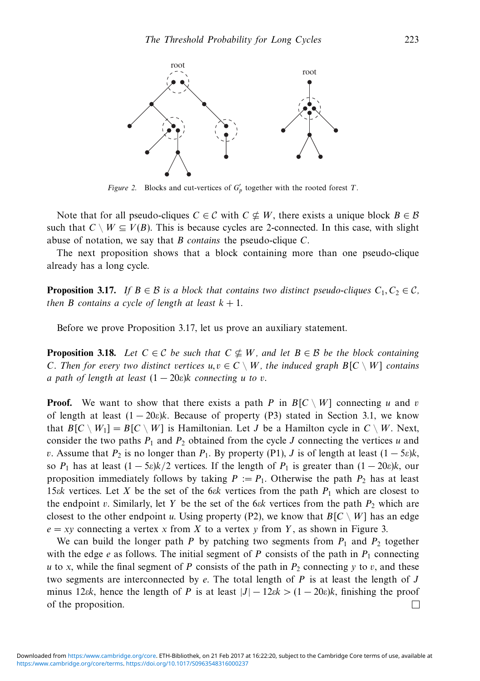

Figure 2. Blocks and cut-vertices of  $G_p'$  together with the rooted forest *T*.

Note that for all pseudo-cliques  $C \in \mathcal{C}$  with  $C \not\subseteq W$ , there exists a unique block  $B \in \mathcal{B}$ such that  $C \setminus W \subseteq V(B)$ . This is because cycles are 2-connected. In this case, with slight abuse of notation, we say that *B* contains the pseudo-clique *C*.

The next proposition shows that a block containing more than one pseudo-clique already has a long cycle.

**Proposition 3.17.** If  $B \in \mathcal{B}$  is a block that contains two distinct pseudo-cliques  $C_1, C_2 \in \mathcal{C}$ , then *B* contains a cycle of length at least  $k + 1$ .

Before we prove Proposition 3.17, let us prove an auxiliary statement.

**Proposition 3.18.** Let  $C \in \mathcal{C}$  be such that  $C \not\subseteq W$ , and let  $B \in \mathcal{B}$  be the block containing *C*. Then for every two distinct vertices  $u, v \in C \setminus W$ , the induced graph  $B[C \setminus W]$  contains a path of length at least  $(1 - 20\varepsilon)$ *k* connecting *u* to *v*.

**Proof.** We want to show that there exists a path *P* in  $B[C \setminus W]$  connecting *u* and *v* of length at least  $(1 - 20\varepsilon)k$ . Because of property (P3) stated in Section 3.1, we know that  $B[C \setminus W_1] = B[C \setminus W]$  is Hamiltonian. Let *J* be a Hamilton cycle in  $C \setminus W$ . Next, consider the two paths  $P_1$  and  $P_2$  obtained from the cycle *J* connecting the vertices *u* and *v*. Assume that  $P_2$  is no longer than  $P_1$ . By property (P1), *J* is of length at least  $(1 - 5\varepsilon)k$ , so  $P_1$  has at least  $(1 - 5\varepsilon)k/2$  vertices. If the length of  $P_1$  is greater than  $(1 - 20\varepsilon)k$ , our proposition immediately follows by taking  $P := P_1$ . Otherwise the path  $P_2$  has at least 15*εk* vertices. Let *X* be the set of the 6*εk* vertices from the path *P*<sup>1</sup> which are closest to the endpoint *v*. Similarly, let *Y* be the set of the 6 $\epsilon k$  vertices from the path  $P_2$  which are closest to the other endpoint *u*. Using property (P2), we know that  $B[C \setminus W]$  has an edge  $e = xy$  connecting a vertex *x* from *X* to a vertex *y* from *Y*, as shown in Figure 3.

We can build the longer path *P* by patching two segments from  $P_1$  and  $P_2$  together with the edge *e* as follows. The initial segment of *P* consists of the path in  $P_1$  connecting *u* to *x*, while the final segment of *P* consists of the path in  $P_2$  connecting *y* to *v*, and these two segments are interconnected by *e*. The total length of *P* is at least the length of *J* minus 12*εk*, hence the length of *P* is at least  $|J| - 12\varepsilon k > (1 - 20\varepsilon)k$ , finishing the proof of the proposition.  $\Box$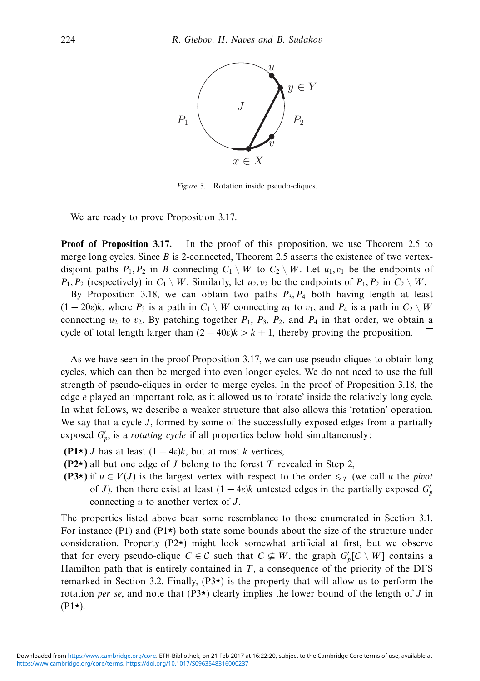

Figure 3. Rotation inside pseudo-cliques.

We are ready to prove Proposition 3.17.

**Proof of Proposition 3.17.** In the proof of this proposition, we use Theorem 2.5 to merge long cycles. Since *B* is 2-connected, Theorem 2.5 asserts the existence of two vertexdisjoint paths  $P_1, P_2$  in *B* connecting  $C_1 \setminus W$  to  $C_2 \setminus W$ . Let  $u_1, v_1$  be the endpoints of  $P_1, P_2$  (respectively) in  $C_1 \setminus W$ . Similarly, let  $u_2, v_2$  be the endpoints of  $P_1, P_2$  in  $C_2 \setminus W$ .

By Proposition 3.18, we can obtain two paths *P*3*, P*<sup>4</sup> both having length at least  $(1 - 20\varepsilon)k$ , where  $P_3$  is a path in  $C_1 \setminus W$  connecting  $u_1$  to  $v_1$ , and  $P_4$  is a path in  $C_2 \setminus W$ connecting  $u_2$  to  $v_2$ . By patching together  $P_1$ ,  $P_3$ ,  $P_2$ , and  $P_4$  in that order, we obtain a cycle of total length larger than  $(2 - 40\varepsilon)k > k + 1$ , thereby proving the proposition.  $\Box$ 

As we have seen in the proof Proposition 3.17, we can use pseudo-cliques to obtain long cycles, which can then be merged into even longer cycles. We do not need to use the full strength of pseudo-cliques in order to merge cycles. In the proof of Proposition 3.18, the edge *e* played an important role, as it allowed us to 'rotate' inside the relatively long cycle. In what follows, we describe a weaker structure that also allows this 'rotation' operation. We say that a cycle *J*, formed by some of the successfully exposed edges from a partially exposed  $G'_{p}$ , is a *rotating cycle* if all properties below hold simultaneously:

- **(P1**<sup> $\star$ </sup>) *J* has at least  $(1 4\varepsilon)k$ , but at most *k* vertices,
- **(P2)** all but one edge of *J* belong to the forest *T* revealed in Step 2,
- **(P3**<sup>**)**</sup>) if  $u \in V(J)$  is the largest vertex with respect to the order  $\leq_T$  (we call *u* the *pivot* of *J*), then there exist at least  $(1 - 4\varepsilon)k$  untested edges in the partially exposed  $G_p'$ connecting *u* to another vertex of *J*.

The properties listed above bear some resemblance to those enumerated in Section 3.1. For instance (P1) and (P1 $\star$ ) both state some bounds about the size of the structure under consideration. Property  $(P2\star)$  might look somewhat artificial at first, but we observe that for every pseudo-clique  $C \in \mathcal{C}$  such that  $C \not\subseteq W$ , the graph  $G'_p[C \setminus W]$  contains a Hamilton path that is entirely contained in *T*, a consequence of the priority of the DFS remarked in Section 3.2. Finally,  $(P3\star)$  is the property that will allow us to perform the rotation per se, and note that  $(P3\star)$  clearly implies the lower bound of the length of *J* in  $(P1\star)$ .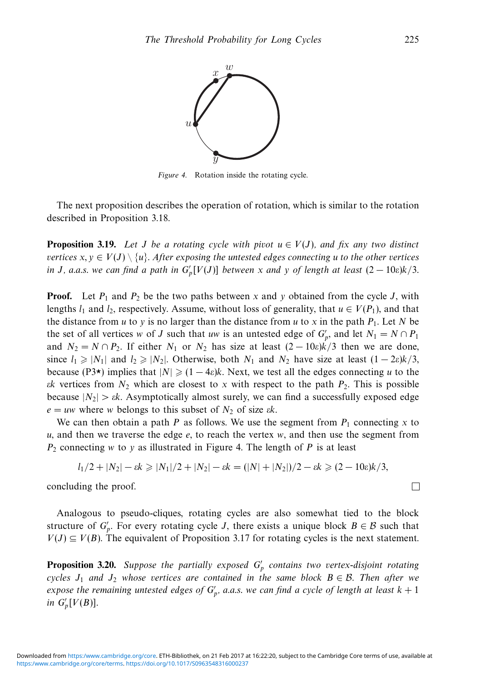

Figure 4. Rotation inside the rotating cycle.

The next proposition describes the operation of rotation, which is similar to the rotation described in Proposition 3.18.

**Proposition 3.19.** Let *J* be a rotating cycle with pivot  $u \in V(J)$ , and fix any two distinct vertices  $x, y \in V(J) \setminus \{u\}$ . After exposing the untested edges connecting *u* to the other vertices in *J*, a.a.s. we can find a path in  $G_p'[V(J)]$  between *x* and *y* of length at least  $(2-10\varepsilon)k/3$ .

**Proof.** Let  $P_1$  and  $P_2$  be the two paths between x and y obtained from the cycle J, with lengths  $l_1$  and  $l_2$ , respectively. Assume, without loss of generality, that  $u \in V(P_1)$ , and that the distance from  $u$  to  $y$  is no larger than the distance from  $u$  to  $x$  in the path  $P_1$ . Let  $N$  be the set of all vertices *w* of *J* such that *uw* is an untested edge of  $G_p'$ , and let  $N_1 = N \cap P_1$ and  $N_2 = N \cap P_2$ . If either  $N_1$  or  $N_2$  has size at least  $(2 - 10\varepsilon)k/3$  then we are done, since  $l_1 \geq |N_1|$  and  $l_2 \geq |N_2|$ . Otherwise, both  $N_1$  and  $N_2$  have size at least  $(1 - 2\varepsilon)k/3$ , because (P3 $\star$ ) implies that  $|N| \geq (1 - 4\varepsilon)k$ . Next, we test all the edges connecting *u* to the *εk* vertices from  $N_2$  which are closest to *x* with respect to the path  $P_2$ . This is possible because  $|N_2| > \varepsilon k$ . Asymptotically almost surely, we can find a successfully exposed edge  $e = uw$  where *w* belongs to this subset of  $N_2$  of size *εk*.

We can then obtain a path *P* as follows. We use the segment from  $P_1$  connecting *x* to *u*, and then we traverse the edge *e*, to reach the vertex *w*, and then use the segment from *P*<sup>2</sup> connecting *w* to *y* as illustrated in Figure 4. The length of *P* is at least

$$
l_1/2 + |N_2| - \varepsilon k \ge |N_1|/2 + |N_2| - \varepsilon k = (|N| + |N_2|)/2 - \varepsilon k \ge (2 - 10\varepsilon)k/3,
$$

concluding the proof.

Analogous to pseudo-cliques, rotating cycles are also somewhat tied to the block structure of  $G_p'$ . For every rotating cycle *J*, there exists a unique block  $B \in \mathcal{B}$  such that  $V(J) \subseteq V(B)$ . The equivalent of Proposition 3.17 for rotating cycles is the next statement.

**Proposition 3.20.** Suppose the partially exposed  $G_p'$  contains two vertex-disjoint rotating cycles  $J_1$  and  $J_2$  whose vertices are contained in the same block  $B \in \mathcal{B}$ . Then after we expose the remaining untested edges of  $G_p'$ , a.a.s. we can find a cycle of length at least  $k+1$  $in G_p'[V(B)].$ 

 $\Box$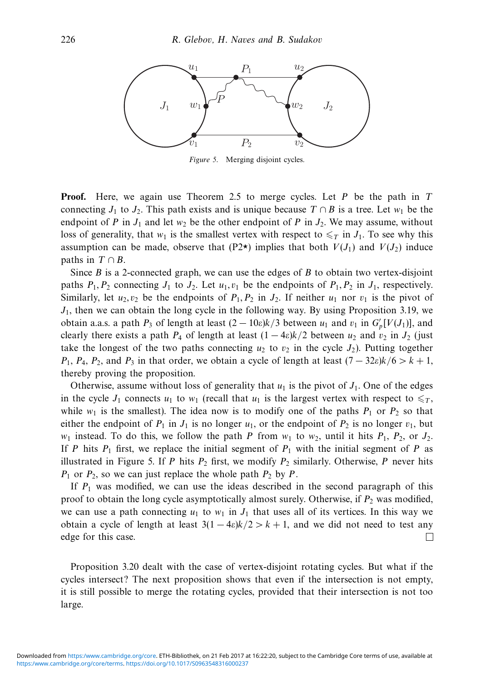

Figure 5. Merging disjoint cycles.

**Proof.** Here, we again use Theorem 2.5 to merge cycles. Let *P* be the path in *T* connecting *J*<sub>1</sub> to *J*<sub>2</sub>. This path exists and is unique because  $T \cap B$  is a tree. Let  $w_1$  be the endpoint of *P* in  $J_1$  and let  $w_2$  be the other endpoint of *P* in  $J_2$ . We may assume, without loss of generality, that  $w_1$  is the smallest vertex with respect to  $\leq T$  in  $J_1$ . To see why this assumption can be made, observe that (P2 $\star$ ) implies that both  $V(J_1)$  and  $V(J_2)$  induce paths in  $T \cap B$ .

Since *B* is a 2-connected graph, we can use the edges of *B* to obtain two vertex-disjoint paths  $P_1$ ,  $P_2$  connecting  $J_1$  to  $J_2$ . Let  $u_1, v_1$  be the endpoints of  $P_1$ ,  $P_2$  in  $J_1$ , respectively. Similarly, let  $u_2, v_2$  be the endpoints of  $P_1, P_2$  in  $J_2$ . If neither  $u_1$  nor  $v_1$  is the pivot of *J*1, then we can obtain the long cycle in the following way. By using Proposition 3.19, we obtain a.a.s. a path  $P_3$  of length at least  $(2 - 10\varepsilon)k/3$  between  $u_1$  and  $v_1$  in  $G_p'[V(J_1)]$ , and clearly there exists a path *P*<sub>4</sub> of length at least  $(1 - 4\varepsilon)k/2$  between  $u_2$  and  $v_2$  in  $J_2$  (just take the longest of the two paths connecting  $u_2$  to  $v_2$  in the cycle  $J_2$ ). Putting together *P*<sub>1</sub>, *P*<sub>4</sub>, *P*<sub>2</sub>, and *P*<sub>3</sub> in that order, we obtain a cycle of length at least  $(7-32\varepsilon)k/6 > k+1$ , thereby proving the proposition.

Otherwise, assume without loss of generality that  $u_1$  is the pivot of  $J_1$ . One of the edges in the cycle  $J_1$  connects  $u_1$  to  $w_1$  (recall that  $u_1$  is the largest vertex with respect to  $\leq T$ , while  $w_1$  is the smallest). The idea now is to modify one of the paths  $P_1$  or  $P_2$  so that either the endpoint of  $P_1$  in  $J_1$  is no longer  $u_1$ , or the endpoint of  $P_2$  is no longer  $v_1$ , but *w*<sub>1</sub> instead. To do this, we follow the path *P* from  $w_1$  to  $w_2$ , until it hits  $P_1$ ,  $P_2$ , or  $J_2$ . If *P* hits  $P_1$  first, we replace the initial segment of  $P_1$  with the initial segment of *P* as illustrated in Figure 5. If *P* hits  $P_2$  first, we modify  $P_2$  similarly. Otherwise, *P* never hits  $P_1$  or  $P_2$ , so we can just replace the whole path  $P_2$  by  $P$ .

If  $P_1$  was modified, we can use the ideas described in the second paragraph of this proof to obtain the long cycle asymptotically almost surely. Otherwise, if *P*<sup>2</sup> was modified, we can use a path connecting  $u_1$  to  $w_1$  in  $J_1$  that uses all of its vertices. In this way we obtain a cycle of length at least  $3(1 - 4\varepsilon)k/2 > k + 1$ , and we did not need to test any edge for this case.  $\Box$ 

Proposition 3.20 dealt with the case of vertex-disjoint rotating cycles. But what if the cycles intersect? The next proposition shows that even if the intersection is not empty, it is still possible to merge the rotating cycles, provided that their intersection is not too large.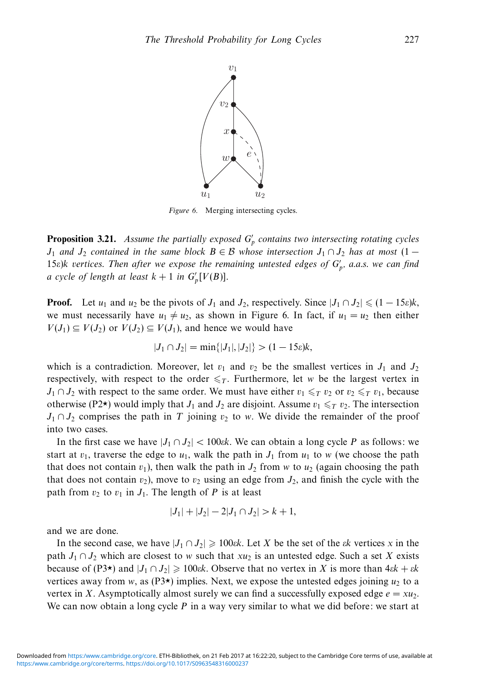

Figure 6. Merging intersecting cycles.

**Proposition 3.21.** Assume the partially exposed  $G_p'$  contains two intersecting rotating cycles *J*<sub>1</sub> and *J*<sub>2</sub> contained in the same block  $B \in \mathcal{B}$  whose intersection  $J_1 \cap J_2$  has at most (1 − 15*ε*)*k* vertices. Then after we expose the remaining untested edges of *G <sup>p</sup>*, a.a.s. we can find a cycle of length at least  $k + 1$  in  $G'_{p}[V(B)]$ .

**Proof.** Let  $u_1$  and  $u_2$  be the pivots of  $J_1$  and  $J_2$ , respectively. Since  $|J_1 \cap J_2| \leq (1 - 15\varepsilon)k$ , we must necessarily have  $u_1 \neq u_2$ , as shown in Figure 6. In fact, if  $u_1 = u_2$  then either *V*(*J*<sub>1</sub>) ⊆ *V*(*J*<sub>2</sub>) or *V*(*J*<sub>2</sub>) ⊆ *V*(*J*<sub>1</sub>), and hence we would have

$$
|J_1 \cap J_2| = \min\{|J_1|, |J_2|\} > (1 - 15\varepsilon)k,
$$

which is a contradiction. Moreover, let  $v_1$  and  $v_2$  be the smallest vertices in  $J_1$  and  $J_2$ respectively, with respect to the order  $\leq_T$ . Furthermore, let *w* be the largest vertex in *J*<sub>1</sub> ∩ *J*<sub>2</sub> with respect to the same order. We must have either  $v_1 \leq T v_2$  or  $v_2 \leq T v_1$ , because otherwise (P2 $\star$ ) would imply that *J*<sub>1</sub> and *J*<sub>2</sub> are disjoint. Assume  $v_1 \leq T v_2$ . The intersection  $J_1 \cap J_2$  comprises the path in *T* joining  $v_2$  to *w*. We divide the remainder of the proof into two cases.

In the first case we have  $|J_1 \cap J_2|$  < 100 $\epsilon k$ . We can obtain a long cycle *P* as follows: we start at  $v_1$ , traverse the edge to  $u_1$ , walk the path in  $J_1$  from  $u_1$  to w (we choose the path that does not contain  $v_1$ ), then walk the path in  $J_2$  from  $w$  to  $u_2$  (again choosing the path that does not contain  $v_2$ ), move to  $v_2$  using an edge from  $J_2$ , and finish the cycle with the path from  $v_2$  to  $v_1$  in  $J_1$ . The length of  $P$  is at least

$$
|J_1|+|J_2|-2|J_1\cap J_2|>k+1,
$$

and we are done.

In the second case, we have  $|J_1 \cap J_2| \ge 100$ *εk*. Let *X* be the set of the *εk* vertices *x* in the path  $J_1 \cap J_2$  which are closest to *w* such that  $xu_2$  is an untested edge. Such a set X exists because of (P3 $\star$ ) and  $|J_1 \cap J_2| \ge 100$ *εk*. Observe that no vertex in *X* is more than 4*εk* + *εk* vertices away from *w*, as  $(P3*)$  implies. Next, we expose the untested edges joining  $u_2$  to a vertex in *X*. Asymptotically almost surely we can find a successfully exposed edge  $e = xu_2$ . We can now obtain a long cycle *P* in a way very similar to what we did before: we start at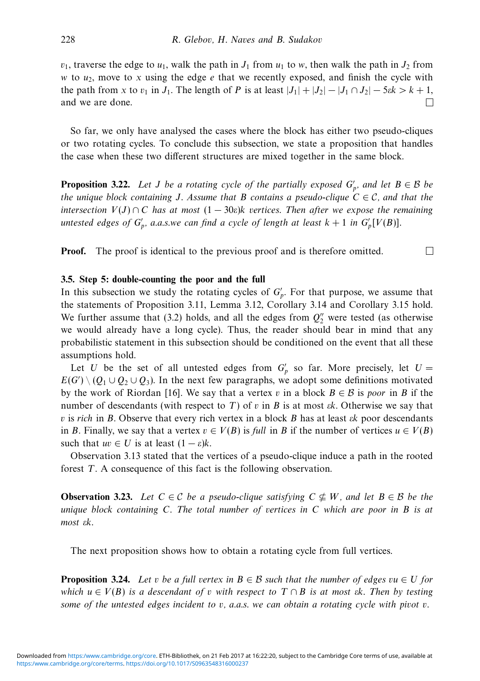$v_1$ , traverse the edge to  $u_1$ , walk the path in  $J_1$  from  $u_1$  to w, then walk the path in  $J_2$  from *w* to  $u_2$ , move to *x* using the edge *e* that we recently exposed, and finish the cycle with the path from *x* to  $v_1$  in  $J_1$ . The length of *P* is at least  $|J_1| + |J_2| - |J_1 \cap J_2| - 5\epsilon k > k + 1$ , and we are done. П

So far, we only have analysed the cases where the block has either two pseudo-cliques or two rotating cycles. To conclude this subsection, we state a proposition that handles the case when these two different structures are mixed together in the same block.

**Proposition 3.22.** Let *J* be a rotating cycle of the partially exposed  $G_p'$ , and let  $B \in \mathcal{B}$  be the unique block containing *J*. Assume that *B* contains a pseudo-clique  $C \in \mathcal{C}$ , and that the intersection  $V(J) \cap C$  has at most  $(1 - 30\varepsilon)k$  vertices. Then after we expose the remaining untested edges of  $G'_p$ , a.a.s.we can find a cycle of length at least  $k+1$  in  $G'_p[V(B)]$ .

**Proof.** The proof is identical to the previous proof and is therefore omitted.

 $\Box$ 

#### **3.5. Step 5: double-counting the poor and the full**

In this subsection we study the rotating cycles of  $G_p'$ . For that purpose, we assume that the statements of Proposition 3.11, Lemma 3.12, Corollary 3.14 and Corollary 3.15 hold. We further assume that  $(3.2)$  holds, and all the edges from  $Q_2$ <sup>*''*</sup> were tested (as otherwise we would already have a long cycle). Thus, the reader should bear in mind that any probabilistic statement in this subsection should be conditioned on the event that all these assumptions hold.

Let *U* be the set of all untested edges from  $G'_p$  so far. More precisely, let  $U =$  $E(G') \setminus (Q_1 \cup Q_2 \cup Q_3)$ . In the next few paragraphs, we adopt some definitions motivated by the work of Riordan [16]. We say that a vertex *v* in a block  $B \in \mathcal{B}$  is poor in *B* if the number of descendants (with respect to *T*) of *v* in *B* is at most *εk*. Otherwise we say that *v* is rich in *B*. Observe that every rich vertex in a block *B* has at least *εk* poor descendants in *B*. Finally, we say that a vertex  $v \in V(B)$  is full in *B* if the number of vertices  $u \in V(B)$ such that  $uv \in U$  is at least  $(1 - \varepsilon)k$ .

Observation 3.13 stated that the vertices of a pseudo-clique induce a path in the rooted forest *T*. A consequence of this fact is the following observation.

**Observation 3.23.** Let  $C \in \mathcal{C}$  be a pseudo-clique satisfying  $C \not\subseteq W$ , and let  $B \in \mathcal{B}$  be the unique block containing *C*. The total number of vertices in *C* which are poor in *B* is at most *εk*.

The next proposition shows how to obtain a rotating cycle from full vertices.

**Proposition 3.24.** Let *v* be a full vertex in  $B \in \mathcal{B}$  such that the number of edges  $vu \in U$  for which  $u \in V(B)$  is a descendant of *v* with respect to  $T \cap B$  is at most  $\varepsilon k$ . Then by testing some of the untested edges incident to *v*, a.a.s. we can obtain a rotating cycle with pivot *v*.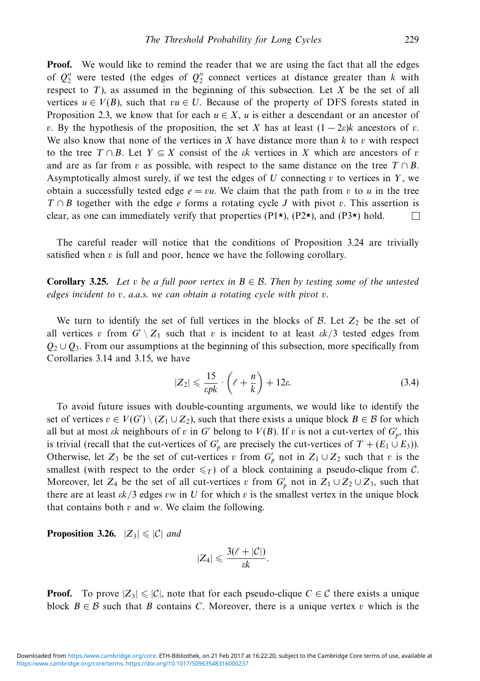**Proof.** We would like to remind the reader that we are using the fact that all the edges of  $Q_2''$  were tested (the edges of  $Q_2''$  connect vertices at distance greater than *k* with respect to *T*), as assumed in the beginning of this subsection. Let *X* be the set of all vertices  $u \in V(B)$ , such that  $vu \in U$ . Because of the property of DFS forests stated in Proposition 2.3, we know that for each  $u \in X$ , *u* is either a descendant or an ancestor of *v*. By the hypothesis of the proposition, the set *X* has at least  $(1 - 2\varepsilon)k$  ancestors of *v*. We also know that none of the vertices in *X* have distance more than *k* to *v* with respect to the tree  $T \cap B$ . Let  $Y \subseteq X$  consist of the *εk* vertices in X which are ancestors of *v* and are as far from *v* as possible, with respect to the same distance on the tree  $T \cap B$ . Asymptotically almost surely, if we test the edges of  $U$  connecting  $v$  to vertices in  $Y$ , we obtain a successfully tested edge  $e = vu$ . We claim that the path from *v* to *u* in the tree *T* ∩ *B* together with the edge *e* forms a rotating cycle *J* with pivot *v*. This assertion is clear, as one can immediately verify that properties  $(P1\star)$ ,  $(P2\star)$ , and  $(P3\star)$  hold. П

The careful reader will notice that the conditions of Proposition 3.24 are trivially satisfied when *v* is full and poor, hence we have the following corollary.

**Corollary 3.25.** Let *v* be a full poor vertex in  $B \in \mathcal{B}$ . Then by testing some of the untested edges incident to *v*, a.a.s. we can obtain a rotating cycle with pivot *v*.

We turn to identify the set of full vertices in the blocks of  $\mathcal{B}$ . Let  $Z_2$  be the set of all vertices *v* from  $G' \setminus Z_1$  such that *v* is incident to at least  $\frac{1}{2}$  tested edges from  $Q_2 \cup Q_3$ . From our assumptions at the beginning of this subsection, more specifically from Corollaries 3.14 and 3.15, we have

$$
|Z_2| \leqslant \frac{15}{\varepsilon p k} \cdot \left(\ell + \frac{n}{k}\right) + 12\varepsilon. \tag{3.4}
$$

To avoid future issues with double-counting arguments, we would like to identify the set of vertices  $v \in V(G') \setminus (Z_1 \cup Z_2)$ , such that there exists a unique block  $B \in \mathcal{B}$  for which all but at most *εk* neighbours of *v* in *G*<sup> $\prime$ </sup> belong to *V*(*B*). If *v* is not a cut-vertex of  $G'_{p}$ , this is trivial (recall that the cut-vertices of  $G_p'$  are precisely the cut-vertices of  $T + (E_1 \cup E_3)$ ). Otherwise, let  $Z_3$  be the set of cut-vertices *v* from  $G'_p$  not in  $Z_1 \cup Z_2$  such that *v* is the smallest (with respect to the order  $\leq_T$ ) of a block containing a pseudo-clique from C. Moreover, let  $Z_4$  be the set of all cut-vertices *v* from  $G'_p$  not in  $Z_1 \cup Z_2 \cup Z_3$ , such that there are at least *εk/*3 edges *vw* in *U* for which *v* is the smallest vertex in the unique block that contains both *v* and *w*. We claim the following.

**Proposition 3.26.**  $|Z_3| \leq |\mathcal{C}|$  and

$$
|Z_4| \leqslant \frac{3(\ell + |\mathcal{C}|)}{\varepsilon k}.
$$

**Proof.** To prove  $|Z_3| \leq |\mathcal{C}|$ , note that for each pseudo-clique  $C \in \mathcal{C}$  there exists a unique block  $B \in \mathcal{B}$  such that *B* contains *C*. Moreover, there is a unique vertex *v* which is the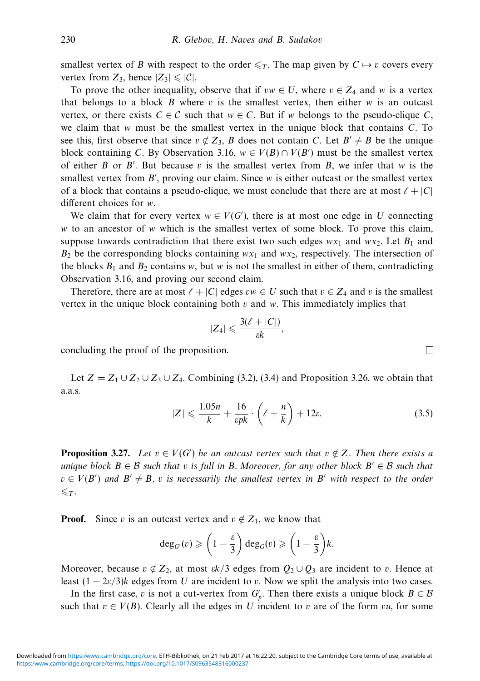smallest vertex of *B* with respect to the order  $\leq_T$ . The map given by  $C \mapsto v$  covers every vertex from  $Z_3$ , hence  $|Z_3| \leq |\mathcal{C}|$ .

To prove the other inequality, observe that if  $vw \in U$ , where  $v \in Z_4$  and w is a vertex that belongs to a block *B* where  $v$  is the smallest vertex, then either  $w$  is an outcast vertex, or there exists  $C \in \mathcal{C}$  such that  $w \in C$ . But if *w* belongs to the pseudo-clique *C*, we claim that *w* must be the smallest vertex in the unique block that contains *C*. To see this, first observe that since  $v \notin Z_3$ , *B* does not contain *C*. Let  $B' \neq B$  be the unique block containing *C*. By Observation 3.16,  $w \in V(B) \cap V(B')$  must be the smallest vertex of either *B* or *B'*. But because *v* is the smallest vertex from *B*, we infer that *w* is the smallest vertex from *B'*, proving our claim. Since *w* is either outcast or the smallest vertex of a block that contains a pseudo-clique, we must conclude that there are at most  $\ell + |C|$ different choices for *w*.

We claim that for every vertex  $w \in V(G')$ , there is at most one edge in *U* connecting *w* to an ancestor of *w* which is the smallest vertex of some block. To prove this claim, suppose towards contradiction that there exist two such edges  $wx_1$  and  $wx_2$ . Let  $B_1$  and  $B_2$  be the corresponding blocks containing  $wx_1$  and  $wx_2$ , respectively. The intersection of the blocks  $B_1$  and  $B_2$  contains *w*, but *w* is not the smallest in either of them, contradicting Observation 3.16, and proving our second claim.

Therefore, there are at most  $\ell + |C|$  edges  $vw \in U$  such that  $v \in Z_4$  and  $v$  is the smallest vertex in the unique block containing both *v* and *w*. This immediately implies that

$$
|Z_4| \leqslant \frac{3(\ell+|C|)}{\varepsilon k},
$$

concluding the proof of the proposition.

Let  $Z = Z_1 \cup Z_2 \cup Z_3 \cup Z_4$ . Combining (3.2), (3.4) and Proposition 3.26, we obtain that a.a.s.

$$
|Z| \leqslant \frac{1.05n}{k} + \frac{16}{\varepsilon pk} \cdot \left(\ell + \frac{n}{k}\right) + 12\varepsilon. \tag{3.5}
$$

**Proposition 3.27.** Let  $v \in V(G')$  be an outcast vertex such that  $v \notin Z$ . Then there exists a unique block  $B \in \mathcal{B}$  such that *v* is full in *B*. Moreover, for any other block  $B' \in \mathcal{B}$  such that  $v \in V(B')$  and  $B' \neq B$ , *v* is necessarily the smallest vertex in  $B'$  with respect to the order  $\leqslant_T$ .

**Proof.** Since *v* is an outcast vertex and  $v \notin Z_1$ , we know that

$$
\deg_G(v) \geqslant \left(1 - \frac{\varepsilon}{3}\right) \deg_G(v) \geqslant \left(1 - \frac{\varepsilon}{3}\right)k.
$$

Moreover, because  $v \notin Z_2$ , at most  $\frac{ek}{3}$  edges from  $Q_2 \cup Q_3$  are incident to *v*. Hence at least  $(1 - 2\varepsilon/3)$ *k* edges from *U* are incident to *v*. Now we split the analysis into two cases.

In the first case, *v* is not a cut-vertex from  $G'_p$ . Then there exists a unique block  $B \in \mathcal{B}$ such that  $v \in V(B)$ . Clearly all the edges in *U* incident to *v* are of the form *vu*, for some

$$
\Box
$$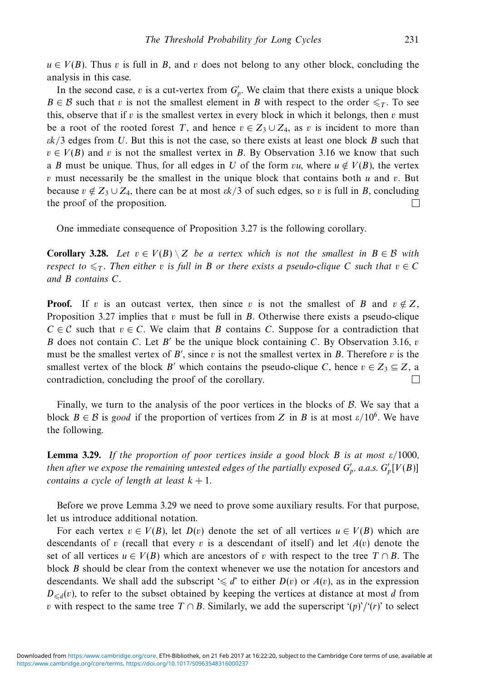$u \in V(B)$ . Thus *v* is full in *B*, and *v* does not belong to any other block, concluding the analysis in this case.

In the second case,  $v$  is a cut-vertex from  $G_p'$ . We claim that there exists a unique block  $B \in \mathcal{B}$  such that *v* is not the smallest element in *B* with respect to the order  $\leq_T$ . To see this, observe that if  $v$  is the smallest vertex in every block in which it belongs, then  $v$  must be a root of the rooted forest *T*, and hence  $v \in Z_3 \cup Z_4$ , as *v* is incident to more than *εk/*3 edges from *U*. But this is not the case, so there exists at least one block *B* such that  $v \in V(B)$  and *v* is not the smallest vertex in *B*. By Observation 3.16 we know that such a *B* must be unique. Thus, for all edges in *U* of the form *vu*, where  $u \notin V(B)$ , the vertex *v* must necessarily be the smallest in the unique block that contains both *u* and *v*. But because  $v \notin Z_3 \cup Z_4$ , there can be at most  $\frac{ek}{3}$  of such edges, so v is full in *B*, concluding the proof of the proposition.  $\Box$ 

One immediate consequence of Proposition 3.27 is the following corollary.

**Corollary 3.28.** Let  $v \in V(B) \setminus Z$  be a vertex which is not the smallest in  $B \in \mathcal{B}$  with respect to  $\leq_T$ . Then either *v* is full in *B* or there exists a pseudo-clique *C* such that  $v \in C$ and *B* contains *C*.

**Proof.** If *v* is an outcast vertex, then since *v* is not the smallest of *B* and  $v \notin Z$ , Proposition 3.27 implies that *v* must be full in *B*. Otherwise there exists a pseudo-clique  $C \in \mathcal{C}$  such that  $v \in C$ . We claim that *B* contains *C*. Suppose for a contradiction that *B* does not contain *C*. Let *B'* be the unique block containing *C*. By Observation 3.16, *v* must be the smallest vertex of  $B'$ , since  $v$  is not the smallest vertex in  $B$ . Therefore  $v$  is the smallest vertex of the block *B*<sup> $\prime$ </sup> which contains the pseudo-clique *C*, hence  $v \in Z_3 \subseteq Z$ , a contradiction, concluding the proof of the corollary.  $\Box$ 

Finally, we turn to the analysis of the poor vertices in the blocks of  $\beta$ . We say that a block  $B \in \mathcal{B}$  is good if the proportion of vertices from *Z* in *B* is at most  $\varepsilon/10^6$ . We have the following.

**Lemma 3.29.** If the proportion of poor vertices inside a good block *B* is at most *ε/*1000, then after we expose the remaining untested edges of the partially exposed  $G'_p$ , a.a.s.  $G'_p[V(B)]$ contains a cycle of length at least  $k + 1$ .

Before we prove Lemma 3.29 we need to prove some auxiliary results. For that purpose, let us introduce additional notation.

For each vertex  $v \in V(B)$ , let  $D(v)$  denote the set of all vertices  $u \in V(B)$  which are descendants of *v* (recall that every *v* is a descendant of itself) and let  $A(v)$  denote the set of all vertices  $u \in V(B)$  which are ancestors of *v* with respect to the tree  $T \cap B$ . The block *B* should be clear from the context whenever we use the notation for ancestors and descendants. We shall add the subscript ' $\leq d'$  to either *D*(*v*) or *A*(*v*), as in the expression  $D_{\leq d}(v)$ , to refer to the subset obtained by keeping the vertices at distance at most *d* from *v* with respect to the same tree *T* ∩ *B*. Similarly, we add the superscript '(*p*)'/'(*r*)' to select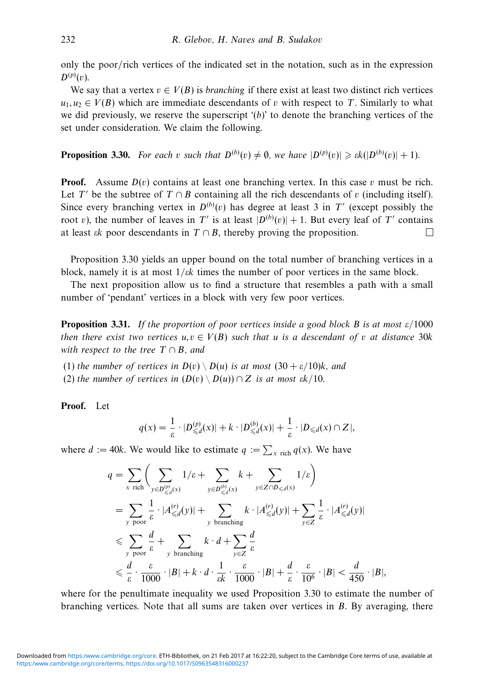only the poor/rich vertices of the indicated set in the notation, such as in the expression  $D^{(p)}(v)$ .

We say that a vertex  $v \in V(B)$  is *branching* if there exist at least two distinct rich vertices  $u_1, u_2 \in V(B)$  which are immediate descendants of *v* with respect to *T*. Similarly to what we did previously, we reserve the superscript '(*b*)' to denote the branching vertices of the set under consideration. We claim the following.

**Proposition 3.30.** For each *v* such that  $D^{(b)}(v) \neq \emptyset$ , we have  $|D^{(p)}(v)| \geq \varepsilon k(|D^{(b)}(v)| + 1)$ .

**Proof.** Assume  $D(v)$  contains at least one branching vertex. In this case  $v$  must be rich. Let *T'* be the subtree of  $T \cap B$  containing all the rich descendants of *v* (including itself). Since every branching vertex in  $D^{(b)}(v)$  has degree at least 3 in T' (except possibly the root *v*), the number of leaves in T' is at least  $|D^{(b)}(v)| + 1$ . But every leaf of T' contains at least *εk* poor descendants in  $T \cap B$ , thereby proving the proposition. П

Proposition 3.30 yields an upper bound on the total number of branching vertices in a block, namely it is at most 1*/εk* times the number of poor vertices in the same block.

The next proposition allow us to find a structure that resembles a path with a small number of 'pendant' vertices in a block with very few poor vertices.

**Proposition 3.31.** If the proportion of poor vertices inside a good block *B* is at most *ε/*1000 then there exist two vertices  $u, v \in V(B)$  such that *u* is a descendant of *v* at distance 30*k* with respect to the tree  $T \cap B$ , and

(1) the number of vertices in  $D(v) \setminus D(u)$  is at most  $(30 + \varepsilon/10)k$ , and (2) the number of vertices in  $(D(v) \setminus D(u)) \cap Z$  is at most  $\epsilon k/10$ .

**Proof.** Let

$$
q(x) = \frac{1}{\varepsilon} \cdot |D_{\leq d}^{(p)}(x)| + k \cdot |D_{\leq d}^{(b)}(x)| + \frac{1}{\varepsilon} \cdot |D_{\leq d}(x) \cap Z|,
$$

where  $d := 40k$ . We would like to estimate  $q := \sum_{x \text{ rich}} q(x)$ . We have

$$
q = \sum_{x \text{ rich}} \left( \sum_{y \in D_{\leq d}^{(p)}(x)} 1/\varepsilon + \sum_{y \in D_{\leq d}^{(b)}(x)} k + \sum_{y \in Z \cap D_{\leq d}(x)} 1/\varepsilon \right)
$$
  
\n
$$
= \sum_{y \text{ poor}} \frac{1}{\varepsilon} \cdot |A_{\leq d}^{(r)}(y)| + \sum_{y \text{ branching}} k \cdot |A_{\leq d}^{(r)}(y)| + \sum_{y \in Z} \frac{1}{\varepsilon} \cdot |A_{\leq d}^{(r)}(y)|
$$
  
\n
$$
\leq \sum_{y \text{ poor}} \frac{d}{\varepsilon} + \sum_{y \text{ branching}} k \cdot d + \sum_{y \in Z} \frac{d}{\varepsilon}
$$
  
\n
$$
\leq \frac{d}{\varepsilon} \cdot \frac{\varepsilon}{1000} \cdot |B| + k \cdot d \cdot \frac{1}{\varepsilon k} \cdot \frac{\varepsilon}{1000} \cdot |B| + \frac{d}{\varepsilon} \cdot \frac{\varepsilon}{10^6} \cdot |B| < \frac{d}{450} \cdot |B|,
$$

where for the penultimate inequality we used Proposition 3.30 to estimate the number of branching vertices. Note that all sums are taken over vertices in *B*. By averaging, there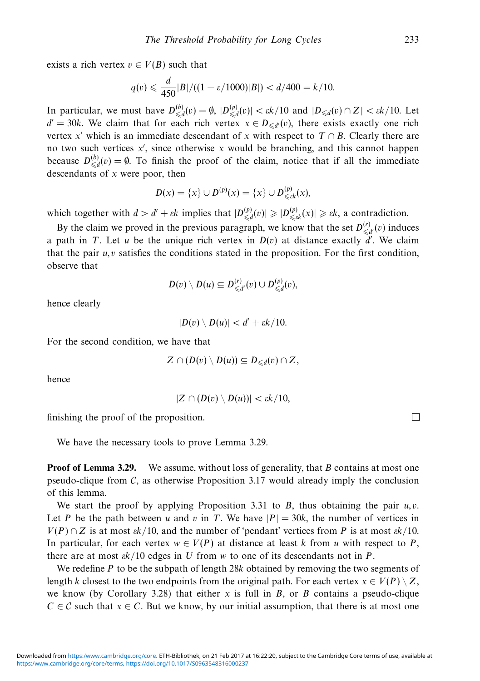exists a rich vertex  $v \in V(B)$  such that

$$
q(v) \leq \frac{d}{450}|B|/((1 - \varepsilon/1000)|B|) < d/400 = k/10.
$$

In particular, we must have  $D_{\leq d}^{(b)}(v) = \emptyset$ ,  $|D_{\leq d}^{(p)}(v)| < \varepsilon k/10$  and  $|D_{\leq d}(v) \cap Z| < \varepsilon k/10$ . Let  $d' = 30k$ . We claim that for each rich vertex  $x \in D_{\le d'}(v)$ , there exists exactly one rich vertex  $x'$  which is an immediate descendant of  $x$  with respect to  $T \cap B$ . Clearly there are no two such vertices *x* , since otherwise *x* would be branching, and this cannot happen because  $D_{\leq d}^{(b)}(v) = \emptyset$ . To finish the proof of the claim, notice that if all the immediate descendants of *x* were poor, then

$$
D(x) = \{x\} \cup D^{(p)}(x) = \{x\} \cup D^{(p)}_{\leqslant ek}(x),
$$

which together with  $d > d' + \varepsilon k$  implies that  $|D^{(p)}_{\leq d}(v)| \geq |D^{(p)}_{\leq \varepsilon k}(x)| \geq \varepsilon k$ , a contradiction.

By the claim we proved in the previous paragraph, we know that the set  $D_{\leq d'}^{(r)}(v)$  induces a path in *T*. Let *u* be the unique rich vertex in  $D(v)$  at distance exactly  $d'$ . We claim that the pair  $u, v$  satisfies the conditions stated in the proposition. For the first condition, observe that

$$
D(v)\setminus D(u)\subseteq D^{(r)}_{\leqslant d'}(v)\cup D^{(p)}_{\leqslant d}(v),
$$

hence clearly

$$
|D(v)\setminus D(u)| < d'+\varepsilon k/10.
$$

For the second condition, we have that

$$
Z \cap (D(v) \setminus D(u)) \subseteq D_{\leq d}(v) \cap Z,
$$

hence

$$
|Z \cap (D(v) \setminus D(u))| < \varepsilon k/10,
$$

finishing the proof of the proposition.

We have the necessary tools to prove Lemma 3.29.

**Proof of Lemma 3.29.** We assume, without loss of generality, that *B* contains at most one pseudo-clique from  $C$ , as otherwise Proposition 3.17 would already imply the conclusion of this lemma.

We start the proof by applying Proposition 3.31 to  $B$ , thus obtaining the pair  $u, v$ . Let *P* be the path between *u* and *v* in *T*. We have  $|P| = 30k$ , the number of vertices in  $V(P) \cap Z$  is at most *εk/*10, and the number of 'pendant' vertices from *P* is at most *εk/*10. In particular, for each vertex  $w \in V(P)$  at distance at least k from *u* with respect to P, there are at most *εk/*10 edges in *U* from *w* to one of its descendants not in *P*.

We redefine *P* to be the subpath of length 28*k* obtained by removing the two segments of length *k* closest to the two endpoints from the original path. For each vertex  $x \in V(P) \setminus Z$ , we know (by Corollary 3.28) that either *x* is full in *B*, or *B* contains a pseudo-clique  $C \in \mathcal{C}$  such that  $x \in C$ . But we know, by our initial assumption, that there is at most one

 $\Box$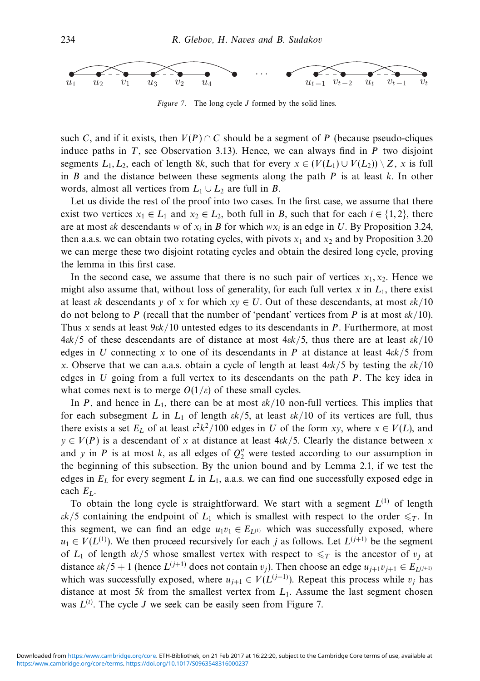

Figure 7. The long cycle *J* formed by the solid lines.

such *C*, and if it exists, then  $V(P) \cap C$  should be a segment of *P* (because pseudo-cliques induce paths in *T*, see Observation 3.13). Hence, we can always find in *P* two disjoint segments  $L_1, L_2$ , each of length 8*k*, such that for every  $x \in (V(L_1) \cup V(L_2)) \setminus Z$ , *x* is full in *B* and the distance between these segments along the path *P* is at least *k*. In other words, almost all vertices from  $L_1 \cup L_2$  are full in *B*.

Let us divide the rest of the proof into two cases. In the first case, we assume that there exist two vertices  $x_1 \in L_1$  and  $x_2 \in L_2$ , both full in *B*, such that for each  $i \in \{1, 2\}$ , there are at most *εk* descendants *w* of *xi* in *B* for which *wxi* is an edge in *U*. By Proposition 3.24, then a.a.s. we can obtain two rotating cycles, with pivots  $x_1$  and  $x_2$  and by Proposition 3.20 we can merge these two disjoint rotating cycles and obtain the desired long cycle, proving the lemma in this first case.

In the second case, we assume that there is no such pair of vertices  $x_1, x_2$ . Hence we might also assume that, without loss of generality, for each full vertex  $x$  in  $L_1$ , there exist at least *εk* descendants *y* of *x* for which  $xy \in U$ . Out of these descendants, at most *εk/*10 do not belong to *P* (recall that the number of 'pendant' vertices from *P* is at most *εk/*10). Thus *x* sends at least 9*εk/*10 untested edges to its descendants in *P*. Furthermore, at most 4*εk/*5 of these descendants are of distance at most 4*εk/*5, thus there are at least *εk/*10 edges in *U* connecting *x* to one of its descendants in *P* at distance at least 4*εk/*5 from *x*. Observe that we can a.a.s. obtain a cycle of length at least 4*εk/*5 by testing the *εk/*10 edges in *U* going from a full vertex to its descendants on the path *P*. The key idea in what comes next is to merge  $O(1/\varepsilon)$  of these small cycles.

In *P*, and hence in *L*1, there can be at most *εk/*10 non-full vertices. This implies that for each subsegment *L* in  $L_1$  of length  $\frac{ek}{5}$ , at least  $\frac{ek}{10}$  of its vertices are full, thus there exists a set  $E_L$  of at least  $\varepsilon^2 k^2/100$  edges in *U* of the form *xy*, where  $x \in V(L)$ , and  $y \in V(P)$  is a descendant of *x* at distance at least 4*εk/5*. Clearly the distance between *x* and *y* in *P* is at most *k*, as all edges of  $Q_2^{\prime\prime}$  were tested according to our assumption in the beginning of this subsection. By the union bound and by Lemma 2.1, if we test the edges in  $E_L$  for every segment *L* in  $L_1$ , a.a.s. we can find one successfully exposed edge in each *EL*.

To obtain the long cycle is straightforward. We start with a segment  $L^{(1)}$  of length *εk/5* containing the endpoint of  $L_1$  which is smallest with respect to the order  $\leq_T$ . In this segment, we can find an edge  $u_1v_1 \n\t\in E_{L^{(1)}}$  which was successfully exposed, where  $u_1 \in V(L^{(1)})$ . We then proceed recursively for each *j* as follows. Let  $L^{(j+1)}$  be the segment of *L*<sub>1</sub> of length  $\frac{1}{k}$  whose smallest vertex with respect to  $\leq r$  is the ancestor of  $v_i$  at distance  $\epsilon k/5 + 1$  (hence  $L^{(j+1)}$  does not contain  $v_j$ ). Then choose an edge  $u_{j+1}v_{j+1} \in E_{L^{(j+1)}}$ which was successfully exposed, where  $u_{j+1} \in V(L^{(j+1)})$ . Repeat this process while  $v_j$  has distance at most 5*k* from the smallest vertex from *L*1. Assume the last segment chosen was  $L^{(t)}$ . The cycle *J* we seek can be easily seen from Figure 7.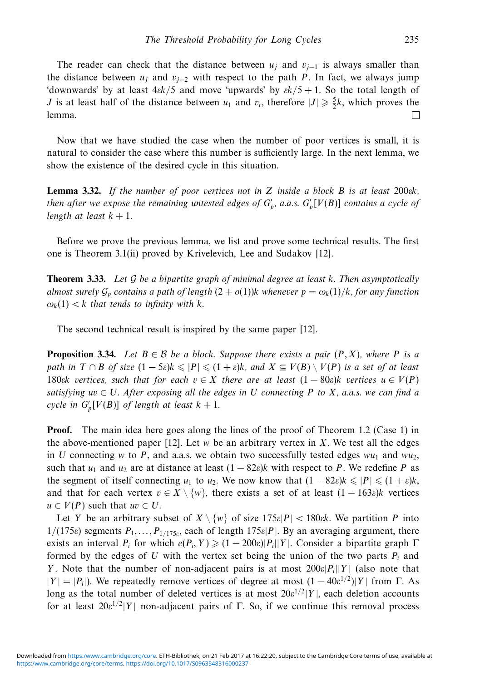The reader can check that the distance between  $u_i$  and  $v_{i-1}$  is always smaller than the distance between  $u_i$  and  $v_{i-2}$  with respect to the path *P*. In fact, we always jump 'downwards' by at least 4*εk/*5 and move 'upwards' by *εk/*5 + 1. So the total length of *J* is at least half of the distance between  $u_1$  and  $v_t$ , therefore  $|J| \ge \frac{5}{2}k$ , which proves the lemma.  $\mathsf{L}$ 

Now that we have studied the case when the number of poor vertices is small, it is natural to consider the case where this number is sufficiently large. In the next lemma, we show the existence of the desired cycle in this situation.

**Lemma 3.32.** If the number of poor vertices not in *Z* inside a block *B* is at least 200*εk*, then after we expose the remaining untested edges of  $G_p'$ , a.a.s.  $G_p'[V(B)]$  contains a cycle of length at least  $k + 1$ .

Before we prove the previous lemma, we list and prove some technical results. The first one is Theorem 3.1(ii) proved by Krivelevich, Lee and Sudakov [12].

**Theorem 3.33.** Let G be a bipartite graph of minimal degree at least *k*. Then asymptotically almost surely  $\mathcal{G}_p$  contains a path of length  $(2 + o(1))k$  whenever  $p = \omega_k(1)/k$ , for any function  $\omega_k(1)$  < k that tends to infinity with *k*.

The second technical result is inspired by the same paper [12].

**Proposition 3.34.** Let  $B \in \mathcal{B}$  be a block. Suppose there exists a pair  $(P, X)$ , where P is a path in  $T \cap B$  of size  $(1 - 5\varepsilon)k \leqslant |P| \leqslant (1 + \varepsilon)k$ , and  $X \subseteq V(B) \setminus V(P)$  is a set of at least 180*εk* vertices, such that for each  $v \in X$  there are at least  $(1 - 80\varepsilon)k$  vertices  $u \in V(P)$ satisfying  $uv \in U$ . After exposing all the edges in U connecting P to X, a.a.s. we can find a cycle in  $G'_{p}[V(B)]$  of length at least  $k + 1$ .

**Proof.** The main idea here goes along the lines of the proof of Theorem 1.2 (Case 1) in the above-mentioned paper  $[12]$ . Let *w* be an arbitrary vertex in *X*. We test all the edges in *U* connecting *w* to *P*, and a.a.s. we obtain two successfully tested edges  $wu_1$  and  $wu_2$ , such that  $u_1$  and  $u_2$  are at distance at least  $(1 - 82\varepsilon)k$  with respect to *P*. We redefine *P* as the segment of itself connecting  $u_1$  to  $u_2$ . We now know that  $(1 - 82\varepsilon)k \leq |P| \leq (1 + \varepsilon)k$ , and that for each vertex  $v \in X \setminus \{w\}$ , there exists a set of at least  $(1 - 163\varepsilon)k$  vertices  $u \in V(P)$  such that  $uv \in U$ .

Let *Y* be an arbitrary subset of  $X \setminus \{w\}$  of size  $175\varepsilon|P| < 180\varepsilon k$ . We partition *P* into  $1/(175\varepsilon)$  segments  $P_1, \ldots, P_{1/175\varepsilon}$ , each of length  $175\varepsilon|P|$ . By an averaging argument, there exists an interval  $P_i$  for which  $e(P_i, Y) \geq (1 - 200\varepsilon)|P_i||Y|$ . Consider a bipartite graph  $\Gamma$ formed by the edges of *U* with the vertex set being the union of the two parts  $P_i$  and *Y* . Note that the number of non-adjacent pairs is at most 200*ε*|*Pi*||*Y* | (also note that  $|Y| = |P_i|$ ). We repeatedly remove vertices of degree at most  $(1 - 40\varepsilon^{1/2})|Y|$  from Γ. As long as the total number of deleted vertices is at most  $20\varepsilon^{1/2}|Y|$ , each deletion accounts for at least  $20\varepsilon^{1/2}|Y|$  non-adjacent pairs of Γ. So, if we continue this removal process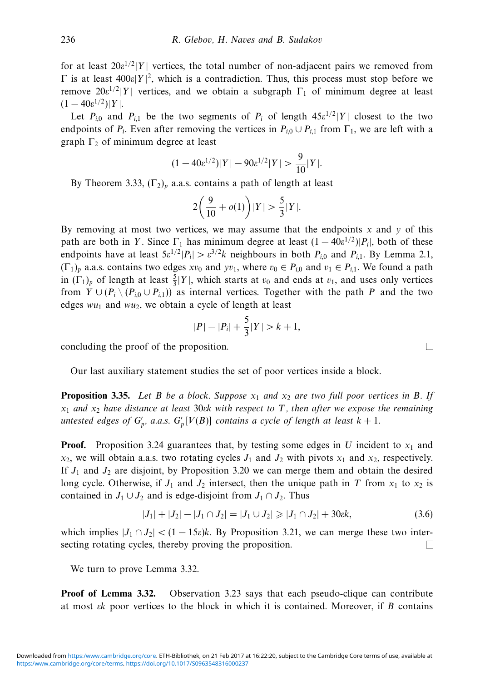for at least  $20\varepsilon^{1/2}|Y|$  vertices, the total number of non-adjacent pairs we removed from  $\Gamma$  is at least 400*ε*| $Y$ |<sup>2</sup>, which is a contradiction. Thus, this process must stop before we remove  $20\varepsilon^{1/2}|Y|$  vertices, and we obtain a subgraph  $\Gamma_1$  of minimum degree at least  $(1 - 40\varepsilon^{1/2})|Y|$ .

Let  $P_{i,0}$  and  $P_{i,1}$  be the two segments of  $P_i$  of length  $45\varepsilon^{1/2}|Y|$  closest to the two endpoints of  $P_i$ . Even after removing the vertices in  $P_{i,0} \cup P_{i,1}$  from  $\Gamma_1$ , we are left with a graph  $\Gamma_2$  of minimum degree at least

$$
(1-40\varepsilon^{1/2})|Y| - 90\varepsilon^{1/2}|Y| > \frac{9}{10}|Y|.
$$

By Theorem 3.33,  $(\Gamma_2)_p$  a.a.s. contains a path of length at least

$$
2\left(\frac{9}{10} + o(1)\right)|Y| > \frac{5}{3}|Y|.
$$

By removing at most two vertices, we may assume that the endpoints *x* and *y* of this path are both in *Y*. Since  $\Gamma_1$  has minimum degree at least  $(1 - 40\varepsilon^{1/2})|P_i|$ , both of these endpoints have at least  $5\varepsilon^{1/2} |P_i| > \varepsilon^{3/2} k$  neighbours in both  $P_{i,0}$  and  $P_{i,1}$ . By Lemma 2.1,  $(\Gamma_1)_p$  a.a.s. contains two edges  $xv_0$  and  $yv_1$ , where  $v_0 \in P_{i,0}$  and  $v_1 \in P_{i,1}$ . We found a path in  $(\Gamma_1)_p$  of length at least  $\frac{5}{3}|Y|$ , which starts at  $v_0$  and ends at  $v_1$ , and uses only vertices from  $Y \cup (P_i \setminus (P_{i,0} \cup P_{i,1}))$  as internal vertices. Together with the path *P* and the two edges *wu*<sub>1</sub> and *wu*<sub>2</sub>, we obtain a cycle of length at least

$$
|P| - |P_i| + \frac{5}{3}|Y| > k + 1,
$$

concluding the proof of the proposition.

Our last auxiliary statement studies the set of poor vertices inside a block.

**Proposition 3.35.** Let *B* be a block. Suppose  $x_1$  and  $x_2$  are two full poor vertices in *B*. If *x*<sup>1</sup> and *x*<sup>2</sup> have distance at least 30*εk* with respect to *T*, then after we expose the remaining untested edges of  $G'_p$ , a.a.s.  $G'_p[V(B)]$  contains a cycle of length at least  $k+1$ .

**Proof.** Proposition 3.24 guarantees that, by testing some edges in *U* incident to  $x_1$  and  $x_2$ , we will obtain a.a.s. two rotating cycles  $J_1$  and  $J_2$  with pivots  $x_1$  and  $x_2$ , respectively. If  $J_1$  and  $J_2$  are disjoint, by Proposition 3.20 we can merge them and obtain the desired long cycle. Otherwise, if  $J_1$  and  $J_2$  intersect, then the unique path in *T* from  $x_1$  to  $x_2$  is contained in  $J_1 \cup J_2$  and is edge-disjoint from  $J_1 \cap J_2$ . Thus

$$
|J_1| + |J_2| - |J_1 \cap J_2| = |J_1 \cup J_2| \ge |J_1 \cap J_2| + 30\epsilon k,\tag{3.6}
$$

which implies  $|J_1 \cap J_2| < (1 - 15\varepsilon)k$ . By Proposition 3.21, we can merge these two intersecting rotating cycles, thereby proving the proposition. П

We turn to prove Lemma 3.32.

**Proof of Lemma 3.32.** Observation 3.23 says that each pseudo-clique can contribute at most *εk* poor vertices to the block in which it is contained. Moreover, if *B* contains

$$
\Box
$$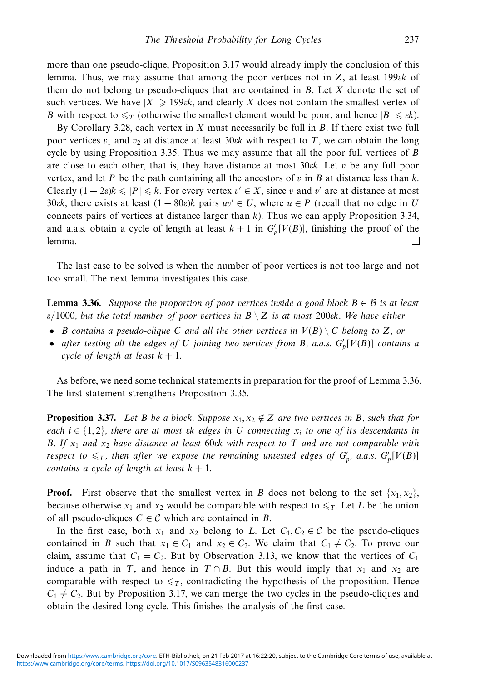more than one pseudo-clique, Proposition 3.17 would already imply the conclusion of this lemma. Thus, we may assume that among the poor vertices not in *Z*, at least 199*εk* of them do not belong to pseudo-cliques that are contained in *B*. Let *X* denote the set of such vertices. We have  $|X| \ge 199$ *εk*, and clearly X does not contain the smallest vertex of *B* with respect to  $\leq T$  (otherwise the smallest element would be poor, and hence  $|B| \leq \varepsilon k$ ).

By Corollary 3.28, each vertex in *X* must necessarily be full in *B*. If there exist two full poor vertices  $v_1$  and  $v_2$  at distance at least 30*εk* with respect to *T*, we can obtain the long cycle by using Proposition 3.35. Thus we may assume that all the poor full vertices of *B* are close to each other, that is, they have distance at most 30*εk*. Let *v* be any full poor vertex, and let *P* be the path containing all the ancestors of  $v$  in  $B$  at distance less than  $k$ . Clearly  $(1 - 2\varepsilon)k \leq |P| \leq k$ . For every vertex  $v' \in X$ , since *v* and  $v'$  are at distance at most 30*εk*, there exists at least  $(1 - 80\varepsilon)$ *k* pairs  $uv' \in U$ , where  $u \in P$  (recall that no edge in *U* connects pairs of vertices at distance larger than *k*). Thus we can apply Proposition 3.34, and a.a.s. obtain a cycle of length at least  $k + 1$  in  $G'_{p}[V(B)]$ , finishing the proof of the lemma.  $\Box$ 

The last case to be solved is when the number of poor vertices is not too large and not too small. The next lemma investigates this case.

**Lemma 3.36.** Suppose the proportion of poor vertices inside a good block  $B \in \mathcal{B}$  is at least *ε/*1000, but the total number of poor vertices in *B* \ *Z* is at most 200*εk*. We have either

- *B* contains a pseudo-clique *C* and all the other vertices in  $V(B) \setminus C$  belong to *Z*, or
- after testing all the edges of *U* joining two vertices from *B*, a.a.s. *G <sup>p</sup>*[*V*(*B*)] contains a cycle of length at least  $k + 1$ .

As before, we need some technical statements in preparation for the proof of Lemma 3.36. The first statement strengthens Proposition 3.35.

**Proposition 3.37.** Let *B* be a block. Suppose  $x_1, x_2 \notin \mathbb{Z}$  are two vertices in *B*, such that for each  $i \in \{1,2\}$ , there are at most *εk* edges in *U* connecting  $x_i$  to one of its descendants in *B*. If *x*<sup>1</sup> and *x*<sup>2</sup> have distance at least 60*εk* with respect to *T* and are not comparable with respect to  $\leqslant_T$ , then after we expose the remaining untested edges of  $G'_p$ , a.a.s.  $G'_p[V(B)]$ contains a cycle of length at least  $k + 1$ .

**Proof.** First observe that the smallest vertex in *B* does not belong to the set  $\{x_1, x_2\}$ , because otherwise  $x_1$  and  $x_2$  would be comparable with respect to  $\leq T$ . Let *L* be the union of all pseudo-cliques  $C \in \mathcal{C}$  which are contained in *B*.

In the first case, both  $x_1$  and  $x_2$  belong to *L*. Let  $C_1, C_2 \in \mathcal{C}$  be the pseudo-cliques contained in *B* such that  $x_1 \in C_1$  and  $x_2 \in C_2$ . We claim that  $C_1 \neq C_2$ . To prove our claim, assume that  $C_1 = C_2$ . But by Observation 3.13, we know that the vertices of  $C_1$ induce a path in *T*, and hence in  $T \cap B$ . But this would imply that  $x_1$  and  $x_2$  are comparable with respect to  $\leq_T$ , contradicting the hypothesis of the proposition. Hence  $C_1 \neq C_2$ . But by Proposition 3.17, we can merge the two cycles in the pseudo-cliques and obtain the desired long cycle. This finishes the analysis of the first case.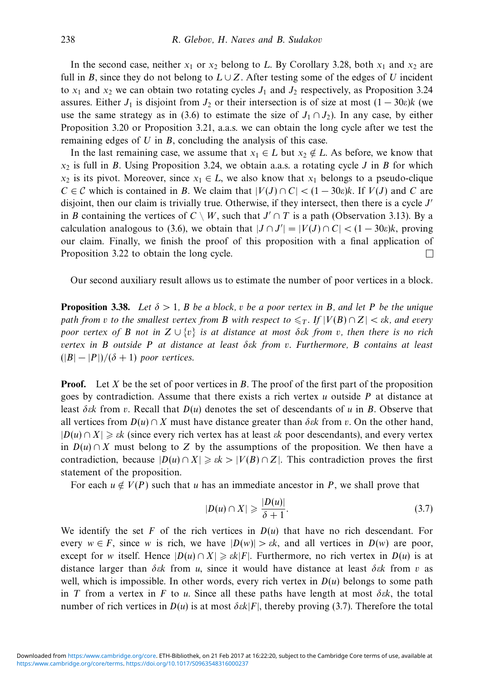In the second case, neither  $x_1$  or  $x_2$  belong to *L*. By Corollary 3.28, both  $x_1$  and  $x_2$  are full in *B*, since they do not belong to  $L \cup Z$ . After testing some of the edges of *U* incident to  $x_1$  and  $x_2$  we can obtain two rotating cycles  $J_1$  and  $J_2$  respectively, as Proposition 3.24 assures. Either *J*<sub>1</sub> is disjoint from *J*<sub>2</sub> or their intersection is of size at most  $(1 - 30\varepsilon)$ *k* (we use the same strategy as in (3.6) to estimate the size of  $J_1 \cap J_2$ ). In any case, by either Proposition 3.20 or Proposition 3.21, a.a.s. we can obtain the long cycle after we test the remaining edges of *U* in *B*, concluding the analysis of this case.

In the last remaining case, we assume that  $x_1 \in L$  but  $x_2 \notin L$ . As before, we know that  $x_2$  is full in *B*. Using Proposition 3.24, we obtain a.a.s. a rotating cycle *J* in *B* for which  $x_2$  is its pivot. Moreover, since  $x_1 \in L$ , we also know that  $x_1$  belongs to a pseudo-clique *C* ∈ *C* which is contained in *B*. We claim that  $|V(J) \cap C|$  <  $(1 - 30\varepsilon)$ *k*. If  $V(J)$  and *C* are disjoint, then our claim is trivially true. Otherwise, if they intersect, then there is a cycle *J* in *B* containing the vertices of  $C \setminus W$ , such that  $J' \cap T$  is a path (Observation 3.13). By a calculation analogous to (3.6), we obtain that  $|J \cap J'| = |V(J) \cap C| < (1 - 30\varepsilon)k$ , proving our claim. Finally, we finish the proof of this proposition with a final application of Proposition 3.22 to obtain the long cycle.  $\Box$ 

Our second auxiliary result allows us to estimate the number of poor vertices in a block.

**Proposition 3.38.** Let  $\delta > 1$ , *B* be a block, *v* be a poor vertex in *B*, and let *P* be the unique path from *v* to the smallest vertex from *B* with respect to  $\leq_T$ . If  $|V(B) \cap Z| < \varepsilon k$ , and every poor vertex of *B* not in  $Z \cup \{v\}$  is at distance at most  $\delta$  *ck* from *v*, then there is no rich vertex in *B* outside *P* at distance at least *δεk* from *v*. Furthermore, *B* contains at least  $(|B|-|P|)/(\delta+1)$  poor vertices.

**Proof.** Let *X* be the set of poor vertices in *B*. The proof of the first part of the proposition goes by contradiction. Assume that there exists a rich vertex *u* outside *P* at distance at least  $\delta$ *ek* from *v*. Recall that  $D(u)$  denotes the set of descendants of *u* in *B*. Observe that all vertices from  $D(u) \cap X$  must have distance greater than  $\delta \varepsilon k$  from *v*. On the other hand,  $|D(u) \cap X| \geq \varepsilon k$  (since every rich vertex has at least  $\varepsilon k$  poor descendants), and every vertex in  $D(u) \cap X$  must belong to *Z* by the assumptions of the proposition. We then have a contradiction, because  $|D(u) \cap X| \geq k$  >  $|V(B) \cap Z|$ . This contradiction proves the first statement of the proposition.

For each  $u \notin V(P)$  such that *u* has an immediate ancestor in *P*, we shall prove that

$$
|D(u) \cap X| \geqslant \frac{|D(u)|}{\delta + 1}.\tag{3.7}
$$

We identify the set F of the rich vertices in  $D(u)$  that have no rich descendant. For every  $w \in F$ , since *w* is rich, we have  $|D(w)| > \varepsilon k$ , and all vertices in  $D(w)$  are poor, except for *w* itself. Hence  $|D(u) \cap X| \geqslant \varepsilon k |F|$ . Furthermore, no rich vertex in  $D(u)$  is at distance larger than *δεk* from *u*, since it would have distance at least *δεk* from *v* as well, which is impossible. In other words, every rich vertex in  $D(u)$  belongs to some path in *T* from a vertex in *F* to *u*. Since all these paths have length at most  $\delta \varepsilon k$ , the total number of rich vertices in  $D(u)$  is at most  $\delta \varepsilon k|F|$ , thereby proving (3.7). Therefore the total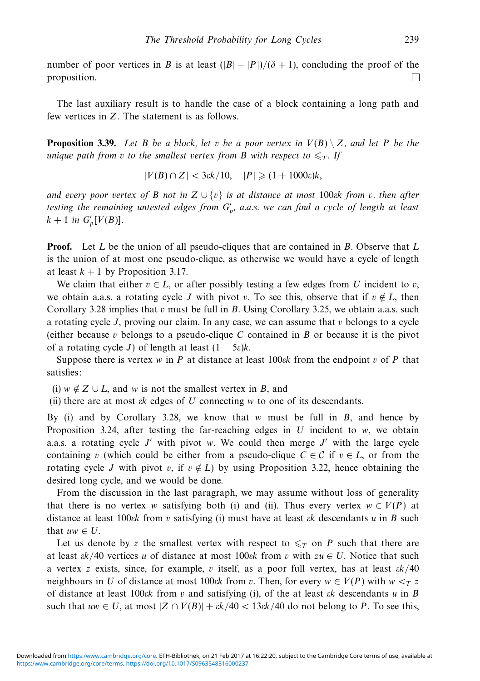number of poor vertices in *B* is at least  $(|B| - |P|)/(\delta + 1)$ , concluding the proof of the proposition. П

The last auxiliary result is to handle the case of a block containing a long path and few vertices in *Z*. The statement is as follows.

**Proposition 3.39.** Let *B* be a block, let *v* be a poor vertex in  $V(B) \setminus Z$ , and let *P* be the unique path from *v* to the smallest vertex from **B** with respect to  $\leq_T$ . If

$$
|V(B) \cap Z| < 3\epsilon k/10, \quad |P| \geqslant (1 + 1000\epsilon)k,
$$

and every poor vertex of *B* not in  $Z \cup \{v\}$  is at distance at most 100 $\epsilon$ k from *v*, then after testing the remaining untested edges from *G <sup>p</sup>*, a.a.s. we can find a cycle of length at least  $k + 1$  in  $G'_{p}[V(B)]$ .

**Proof.** Let *L* be the union of all pseudo-cliques that are contained in *B*. Observe that *L* is the union of at most one pseudo-clique, as otherwise we would have a cycle of length at least  $k + 1$  by Proposition 3.17.

We claim that either  $v \in L$ , or after possibly testing a few edges from *U* incident to *v*, we obtain a.a.s. a rotating cycle *J* with pivot *v*. To see this, observe that if  $v \notin L$ , then Corollary 3.28 implies that *v* must be full in *B*. Using Corollary 3.25, we obtain a.a.s. such a rotating cycle *J*, proving our claim. In any case, we can assume that *v* belongs to a cycle (either because *v* belongs to a pseudo-clique *C* contained in *B* or because it is the pivot of a rotating cycle *J*) of length at least  $(1 - 5\varepsilon)k$ .

Suppose there is vertex *w* in *P* at distance at least 100*εk* from the endpoint *v* of *P* that satisfies:

(i)  $w \notin Z \cup L$ , and *w* is not the smallest vertex in *B*, and

(ii) there are at most *εk* edges of *U* connecting *w* to one of its descendants.

By (i) and by Corollary 3.28, we know that *w* must be full in *B*, and hence by Proposition 3.24, after testing the far-reaching edges in *U* incident to *w*, we obtain a.a.s. a rotating cycle  $J'$  with pivot *w*. We could then merge  $J'$  with the large cycle containing *v* (which could be either from a pseudo-clique  $C \in \mathcal{C}$  if  $v \in L$ , or from the rotating cycle *J* with pivot *v*, if  $v \notin L$ ) by using Proposition 3.22, hence obtaining the desired long cycle, and we would be done.

From the discussion in the last paragraph, we may assume without loss of generality that there is no vertex *w* satisfying both (i) and (ii). Thus every vertex  $w \in V(P)$  at distance at least 100*εk* from *v* satisfying (i) must have at least *εk* descendants *u* in *B* such that  $uw \in U$ .

Let us denote by z the smallest vertex with respect to  $\leq_T$  on P such that there are at least *εk/*40 vertices *u* of distance at most 100*εk* from *v* with *zu* ∈ *U*. Notice that such a vertex *z* exists, since, for example, *v* itself, as a poor full vertex, has at least *εk/*40 neighbours in *U* of distance at most 100*εk* from *v*. Then, for every  $w \in V(P)$  with  $w \leq T z$ of distance at least 100*εk* from *v* and satisfying (i), of the at least *εk* descendants *u* in *B* such that  $uw \in U$ , at most  $|Z \cap V(B)| + \frac{\varepsilon k}{40} < \frac{13\varepsilon k}{40}$  do not belong to P. To see this,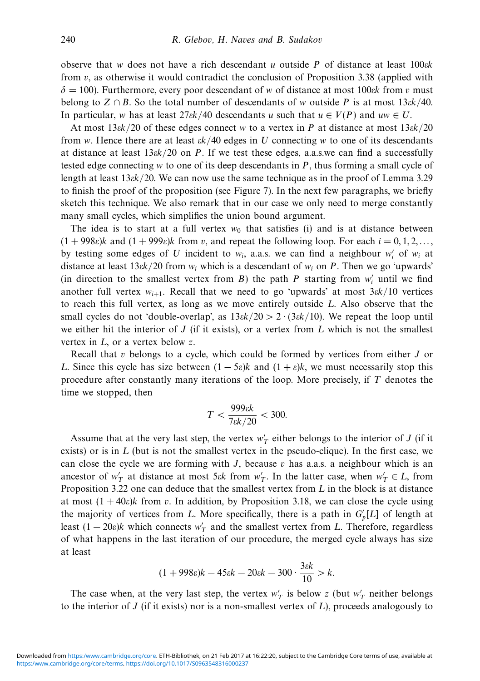observe that *w* does not have a rich descendant *u* outside *P* of distance at least 100*εk* from *v*, as otherwise it would contradict the conclusion of Proposition 3.38 (applied with  $\delta$  = 100). Furthermore, every poor descendant of *w* of distance at most 100*εk* from *v* must belong to  $Z \cap B$ . So the total number of descendants of *w* outside *P* is at most 13*εk*/40. In particular, *w* has at least  $27\varepsilon k/40$  descendants *u* such that  $u \in V(P)$  and  $uw \in U$ .

At most 13*εk/*20 of these edges connect *w* to a vertex in *P* at distance at most 13*εk/*20 from *w*. Hence there are at least *εk/*40 edges in *U* connecting *w* to one of its descendants at distance at least 13*εk/*20 on *P*. If we test these edges, a.a.s.we can find a successfully tested edge connecting *w* to one of its deep descendants in *P*, thus forming a small cycle of length at least 13*εk/*20. We can now use the same technique as in the proof of Lemma 3.29 to finish the proof of the proposition (see Figure 7). In the next few paragraphs, we briefly sketch this technique. We also remark that in our case we only need to merge constantly many small cycles, which simplifies the union bound argument.

The idea is to start at a full vertex  $w_0$  that satisfies (i) and is at distance between  $(1 + 998\varepsilon)$ *k* and  $(1 + 999\varepsilon)$ *k* from *v*, and repeat the following loop. For each  $i = 0, 1, 2, \ldots$ , by testing some edges of *U* incident to  $w_i$ , a.a.s. we can find a neighbour  $w'_i$  of  $w_i$  at distance at least 13*εk/*20 from *wi* which is a descendant of *wi* on *P*. Then we go 'upwards' (in direction to the smallest vertex from *B*) the path *P* starting from  $w_i'$  until we find another full vertex  $w_{i+1}$ . Recall that we need to go 'upwards' at most  $3\varepsilon k/10$  vertices to reach this full vertex, as long as we move entirely outside *L*. Also observe that the small cycles do not 'double-overlap', as  $13\varepsilon k/20 > 2 \cdot (3\varepsilon k/10)$ . We repeat the loop until we either hit the interior of *J* (if it exists), or a vertex from *L* which is not the smallest vertex in *L*, or a vertex below *z*.

Recall that *v* belongs to a cycle, which could be formed by vertices from either *J* or *L*. Since this cycle has size between  $(1 - 5\varepsilon)k$  and  $(1 + \varepsilon)k$ , we must necessarily stop this procedure after constantly many iterations of the loop. More precisely, if *T* denotes the time we stopped, then

$$
T < \frac{999\epsilon k}{7\epsilon k/20} < 300.
$$

Assume that at the very last step, the vertex  $w'_T$  either belongs to the interior of *J* (if it exists) or is in *L* (but is not the smallest vertex in the pseudo-clique). In the first case, we can close the cycle we are forming with *J*, because *v* has a.a.s. a neighbour which is an ancestor of  $w'_T$  at distance at most 5*εk* from  $w'_T$ . In the latter case, when  $w'_T \in L$ , from Proposition 3.22 one can deduce that the smallest vertex from *L* in the block is at distance at most  $(1 + 40\varepsilon)k$  from *v*. In addition, by Proposition 3.18, we can close the cycle using the majority of vertices from *L*. More specifically, there is a path in  $G_p'[L]$  of length at least  $(1 - 20\varepsilon)$ *k* which connects  $w'_T$  and the smallest vertex from *L*. Therefore, regardless of what happens in the last iteration of our procedure, the merged cycle always has size at least

$$
(1+998\varepsilon)k - 45\varepsilon k - 20\varepsilon k - 300 \cdot \frac{3\varepsilon k}{10} > k.
$$

The case when, at the very last step, the vertex  $w'_T$  is below *z* (but  $w'_T$  neither belongs to the interior of *J* (if it exists) nor is a non-smallest vertex of *L*), proceeds analogously to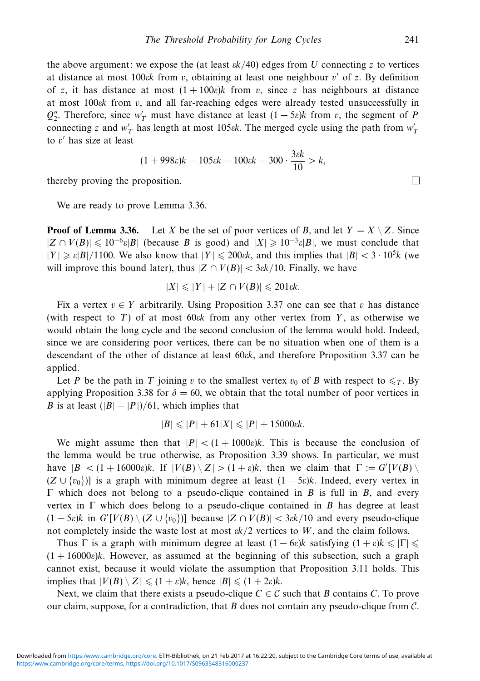the above argument: we expose the (at least *εk/*40) edges from *U* connecting *z* to vertices at distance at most 100*εk* from *v*, obtaining at least one neighbour *v* of *z*. By definition of *z*, it has distance at most  $(1 + 100\varepsilon)k$  from *v*, since *z* has neighbours at distance at most 100*εk* from *v*, and all far-reaching edges were already tested unsuccessfully in  $Q_2''$ . Therefore, since  $w'_T$  must have distance at least  $(1 - 5\varepsilon)k$  from *v*, the segment of *P* connecting *z* and  $w'_T$  has length at most 105*εk*. The merged cycle using the path from  $w'_T$ to *v* has size at least

$$
(1+998\varepsilon)k - 105\varepsilon k - 100\varepsilon k - 300 \cdot \frac{3\varepsilon k}{10} > k,
$$

thereby proving the proposition.

We are ready to prove Lemma 3.36.

**Proof of Lemma 3.36.** Let *X* be the set of poor vertices of *B*, and let  $Y = X \setminus Z$ . Since  $|Z \cap V(B)| \leq 10^{-6} \varepsilon |B|$  (because *B* is good) and  $|X| \geq 10^{-3} \varepsilon |B|$ , we must conclude that  $|Y| \ge \varepsilon |B|/1100$ . We also know that  $|Y| \le 200\varepsilon k$ , and this implies that  $|B| < 3 \cdot 10^5 k$  (we will improve this bound later), thus  $|Z \cap V(B)| < 3\varepsilon k/10$ . Finally, we have

$$
|X| \leqslant |Y| + |Z \cap V(B)| \leqslant 201 \varepsilon k.
$$

Fix a vertex  $v \in Y$  arbitrarily. Using Proposition 3.37 one can see that v has distance (with respect to *T*) of at most 60*εk* from any other vertex from *Y* , as otherwise we would obtain the long cycle and the second conclusion of the lemma would hold. Indeed, since we are considering poor vertices, there can be no situation when one of them is a descendant of the other of distance at least 60*εk*, and therefore Proposition 3.37 can be applied.

Let *P* be the path in *T* joining *v* to the smallest vertex  $v_0$  of *B* with respect to  $\leq r$ . By applying Proposition 3.38 for  $\delta = 60$ , we obtain that the total number of poor vertices in *B* is at least  $(|B| - |P|)/61$ , which implies that

$$
|B| \leqslant |P| + 61|X| \leqslant |P| + 15000\epsilon k.
$$

We might assume then that  $|P| < (1 + 1000\varepsilon)k$ . This is because the conclusion of the lemma would be true otherwise, as Proposition 3.39 shows. In particular, we must have  $|B| < (1 + 16000\varepsilon)k$ . If  $|V(B) \setminus Z| > (1 + \varepsilon)k$ , then we claim that  $\Gamma := G'[V(B) \setminus Z]$  $(Z \cup \{v_0\})$  is a graph with minimum degree at least  $(1 - 5\varepsilon)k$ . Indeed, every vertex in Γ which does not belong to a pseudo-clique contained in *B* is full in *B*, and every vertex in Γ which does belong to a pseudo-clique contained in *B* has degree at least  $(1 - 5\varepsilon)k$  in  $G'[V(B) \setminus (Z \cup \{v_0\})]$  because  $|Z \cap V(B)| < 3\varepsilon k/10$  and every pseudo-clique not completely inside the waste lost at most *εk/*2 vertices to *W*, and the claim follows.

Thus  $\Gamma$  is a graph with minimum degree at least  $(1 - 6\varepsilon)k$  satisfying  $(1 + \varepsilon)k \leqslant |\Gamma| \leqslant$  $(1 + 16000\varepsilon)$ *k*. However, as assumed at the beginning of this subsection, such a graph cannot exist, because it would violate the assumption that Proposition 3.11 holds. This implies that  $|V(B) \setminus Z| \leq (1 + \varepsilon)k$ , hence  $|B| \leq (1 + 2\varepsilon)k$ .

Next, we claim that there exists a pseudo-clique  $C \in \mathcal{C}$  such that *B* contains *C*. To prove our claim, suppose, for a contradiction, that *B* does not contain any pseudo-clique from C.

 $\Box$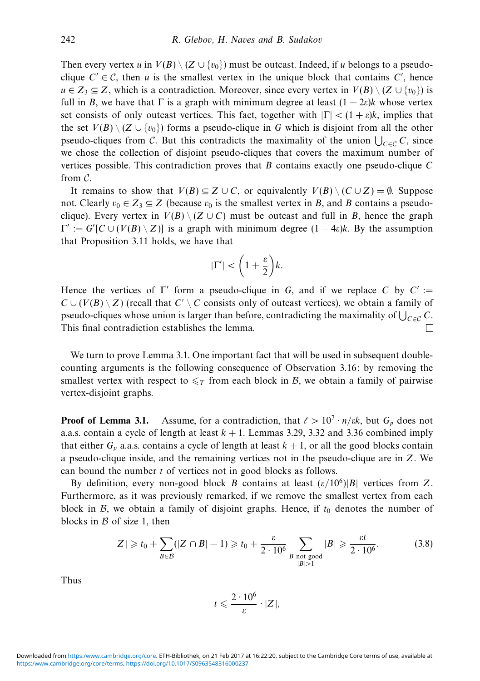Then every vertex *u* in  $V(B) \setminus (Z \cup \{v_0\})$  must be outcast. Indeed, if *u* belongs to a pseudoclique  $C' \in \mathcal{C}$ , then *u* is the smallest vertex in the unique block that contains  $C'$ , hence *u* ∈ *Z*<sub>3</sub> ⊆ *Z*, which is a contradiction. Moreover, since every vertex in  $V(B) \setminus (Z \cup \{v_0\})$  is full in *B*, we have that  $\Gamma$  is a graph with minimum degree at least  $(1 - 2\varepsilon)k$  whose vertex set consists of only outcast vertices. This fact, together with  $|\Gamma| < (1 + \varepsilon)k$ , implies that the set  $V(B) \setminus (Z \cup \{v_0\})$  forms a pseudo-clique in *G* which is disjoint from all the other pseudo-cliques from C. But this contradicts the maximality of the union  $\bigcup_{C \in \mathcal{C}} C$ , since we chose the collection of disjoint pseudo-cliques that covers the maximum number of vertices possible. This contradiction proves that *B* contains exactly one pseudo-clique *C* from C.

It remains to show that  $V(B) \subseteq Z \cup C$ , or equivalently  $V(B) \setminus (C \cup Z) = \emptyset$ . Suppose not. Clearly  $v_0 \in Z_3 \subseteq Z$  (because  $v_0$  is the smallest vertex in *B*, and *B* contains a pseudoclique). Every vertex in  $V(B) \setminus (Z \cup C)$  must be outcast and full in *B*, hence the graph  $\Gamma' := G'[C \cup (V(B) \setminus Z)]$  is a graph with minimum degree  $(1 - 4\varepsilon)k$ . By the assumption that Proposition 3.11 holds, we have that

$$
|\Gamma'| < \left(1 + \frac{\varepsilon}{2}\right)k.
$$

Hence the vertices of  $\Gamma'$  form a pseudo-clique in *G*, and if we replace *C* by  $C' :=$  $C \cup (V(B) \setminus Z)$  (recall that  $C' \setminus C$  consists only of outcast vertices), we obtain a family of pseudo-cliques whose union is larger than before, contradicting the maximality of  $\bigcup_{C \in \mathcal{C}} C$ . This final contradiction establishes the lemma.

We turn to prove Lemma 3.1. One important fact that will be used in subsequent doublecounting arguments is the following consequence of Observation 3.16: by removing the smallest vertex with respect to  $\leq_T$  from each block in B, we obtain a family of pairwise vertex-disjoint graphs.

**Proof of Lemma 3.1.** Assume, for a contradiction, that  $\ell > 10^7 \cdot n/\epsilon k$ , but  $G_p$  does not a.a.s. contain a cycle of length at least  $k + 1$ . Lemmas 3.29, 3.32 and 3.36 combined imply that either  $G_p$  a.a.s. contains a cycle of length at least  $k + 1$ , or all the good blocks contain a pseudo-clique inside, and the remaining vertices not in the pseudo-clique are in *Z*. We can bound the number *t* of vertices not in good blocks as follows.

By definition, every non-good block *B* contains at least (*ε/*106)|*B*| vertices from *Z*. Furthermore, as it was previously remarked, if we remove the smallest vertex from each block in  $B$ , we obtain a family of disjoint graphs. Hence, if  $t_0$  denotes the number of blocks in  $\beta$  of size 1, then

$$
|Z| \geq t_0 + \sum_{B \in \mathcal{B}} (|Z \cap B| - 1) \geq t_0 + \frac{\varepsilon}{2 \cdot 10^6} \sum_{\substack{B \text{ not good} \\ |B| > 1}} |B| \geq \frac{\varepsilon t}{2 \cdot 10^6}.
$$
 (3.8)

Thus

$$
t\leqslant \frac{2\cdot 10^6}{\varepsilon}\cdot |Z|,
$$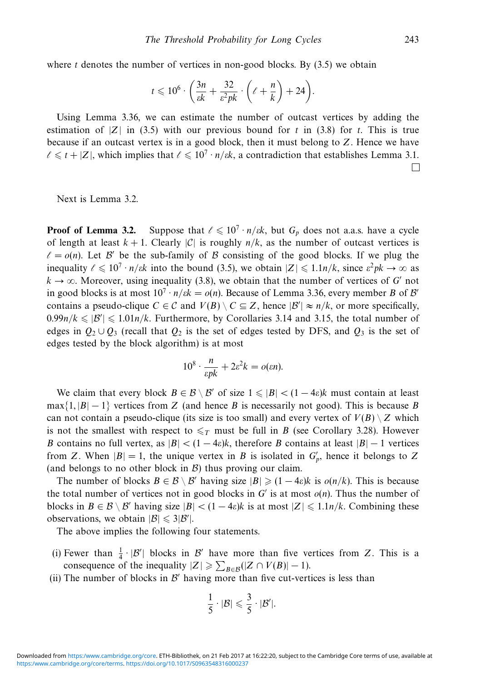where  $t$  denotes the number of vertices in non-good blocks. By  $(3.5)$  we obtain

$$
t \leq 10^6 \cdot \left(\frac{3n}{\varepsilon k} + \frac{32}{\varepsilon^2 p k} \cdot \left(\ell + \frac{n}{k}\right) + 24\right).
$$

Using Lemma 3.36, we can estimate the number of outcast vertices by adding the estimation of  $|Z|$  in (3.5) with our previous bound for  $t$  in (3.8) for  $t$ . This is true because if an outcast vertex is in a good block, then it must belong to *Z*. Hence we have  $\ell \leq t + |Z|$ , which implies that  $\ell \leq 10^7 \cdot n/\epsilon k$ , a contradiction that establishes Lemma 3.1.  $\Box$ 

Next is Lemma 3.2.

**Proof of Lemma 3.2.** Suppose that  $\ell \leq 10^7 \cdot n/\epsilon k$ , but  $G_p$  does not a.a.s. have a cycle of length at least  $k + 1$ . Clearly |C| is roughly  $n/k$ , as the number of outcast vertices is  $\ell = o(n)$ . Let B' be the sub-family of B consisting of the good blocks. If we plug the inequality  $\ell \leq 10^7 \cdot n/\epsilon k$  into the bound (3.5), we obtain  $|Z| \leq 1.1n/k$ , since  $\epsilon^2 p k \to \infty$  as  $k \to \infty$ . Moreover, using inequality (3.8), we obtain that the number of vertices of *G* not in good blocks is at most  $10^7 \cdot n/\epsilon k = o(n)$ . Because of Lemma 3.36, every member *B* of *B*<sup>*'*</sup> contains a pseudo-clique  $C \in \mathcal{C}$  and  $V(B) \setminus C \subseteq Z$ , hence  $|\mathcal{B}'| \approx n/k$ , or more specifically,  $0.99n/k \leq |\mathcal{B}'| \leq 1.01n/k$ . Furthermore, by Corollaries 3.14 and 3.15, the total number of edges in  $Q_2 \cup Q_3$  (recall that  $Q_2$  is the set of edges tested by DFS, and  $Q_3$  is the set of edges tested by the block algorithm) is at most

$$
10^8 \cdot \frac{n}{\varepsilon p k} + 2\varepsilon^2 k = o(\varepsilon n).
$$

We claim that every block  $B \in \mathcal{B} \setminus \mathcal{B}'$  of size  $1 \leq |B| < (1 - 4\varepsilon)k$  must contain at least  $\max\{1, |B| - 1\}$  vertices from *Z* (and hence *B* is necessarily not good). This is because *B* can not contain a pseudo-clique (its size is too small) and every vertex of  $V(B) \setminus Z$  which is not the smallest with respect to  $\leq T$  must be full in *B* (see Corollary 3.28). However *B* contains no full vertex, as  $|B| < (1 - 4\varepsilon)k$ , therefore *B* contains at least  $|B| - 1$  vertices from *Z*. When  $|B| = 1$ , the unique vertex in *B* is isolated in  $G_p'$ , hence it belongs to *Z* (and belongs to no other block in  $\mathcal{B}$ ) thus proving our claim.

The number of blocks  $B \in \mathcal{B} \setminus \mathcal{B}'$  having size  $|B| \geq (1 - 4\varepsilon)k$  is  $o(n/k)$ . This is because the total number of vertices not in good blocks in  $G'$  is at most  $o(n)$ . Thus the number of blocks in  $B \in \mathcal{B} \setminus \mathcal{B}'$  having size  $|B| < (1 - 4\varepsilon)k$  is at most  $|Z| \leq 1.1n/k$ . Combining these observations, we obtain  $|\mathcal{B}| \leq 3|\mathcal{B}'|$ .

The above implies the following four statements.

- (i) Fewer than  $\frac{1}{4} \cdot |\mathcal{B}'|$  blocks in  $\mathcal{B}'$  have more than five vertices from Z. This is a consequence of the inequality  $|Z| \ge \sum_{B \in \mathcal{B}} (|Z \cap V(B)| - 1)$ .
- (ii) The number of blocks in  $\mathcal{B}'$  having more than five cut-vertices is less than

$$
\frac{1}{5} \cdot |\mathcal{B}| \leqslant \frac{3}{5} \cdot |\mathcal{B}'|.
$$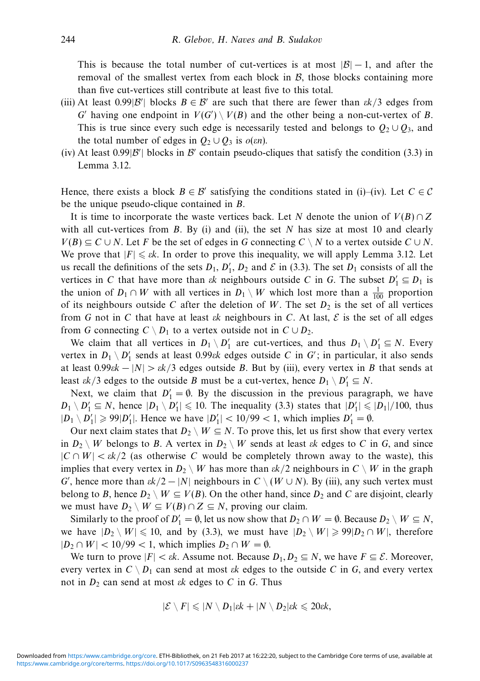This is because the total number of cut-vertices is at most  $|\mathcal{B}| - 1$ , and after the removal of the smallest vertex from each block in  $\beta$ , those blocks containing more than five cut-vertices still contribute at least five to this total.

- (iii) At least  $0.99|\mathcal{B}'|$  blocks  $B \in \mathcal{B}'$  are such that there are fewer than  $\mathfrak{c}k/3$  edges from *G*<sup> $\prime$ </sup> having one endpoint in  $V(G') \setminus V(B)$  and the other being a non-cut-vertex of *B*. This is true since every such edge is necessarily tested and belongs to  $Q_2 \cup Q_3$ , and the total number of edges in  $Q_2 \cup Q_3$  is  $o(\varepsilon n)$ .
- (iv) At least  $0.99|\mathcal{B}'|$  blocks in  $\mathcal{B}'$  contain pseudo-cliques that satisfy the condition (3.3) in Lemma 3.12.

Hence, there exists a block  $B \in \mathcal{B}'$  satisfying the conditions stated in (i)–(iv). Let  $C \in \mathcal{C}$ be the unique pseudo-clique contained in *B*.

It is time to incorporate the waste vertices back. Let *N* denote the union of  $V(B) \cap Z$ with all cut-vertices from  $B$ . By (i) and (ii), the set  $N$  has size at most 10 and clearly  $V(B) \subseteq C \cup N$ . Let *F* be the set of edges in *G* connecting  $C \setminus N$  to a vertex outside  $C \cup N$ . We prove that  $|F| \leq k$ . In order to prove this inequality, we will apply Lemma 3.12. Let us recall the definitions of the sets  $D_1$ ,  $D_1$ ,  $D_2$  and  $\mathcal E$  in (3.3). The set  $D_1$  consists of all the vertices in *C* that have more than *εk* neighbours outside *C* in *G*. The subset  $D'_1 \subseteq D_1$  is the union of  $D_1 \cap W$  with all vertices in  $D_1 \setminus W$  which lost more than a  $\frac{1}{100}$  proportion of its neighbours outside C after the deletion of W. The set  $D_2$  is the set of all vertices from *G* not in *C* that have at least *εk* neighbours in *C*. At last,  $\mathcal{E}$  is the set of all edges from *G* connecting  $C \setminus D_1$  to a vertex outside not in  $C \cup D_2$ .

We claim that all vertices in  $D_1 \setminus D'_1$  are cut-vertices, and thus  $D_1 \setminus D'_1 \subseteq N$ . Every vertex in  $D_1 \setminus D'_1$  sends at least 0.99*εk* edges outside *C* in *G*'; in particular, it also sends at least  $0.99\varepsilon k - |N| > \varepsilon k/3$  edges outside *B*. But by (iii), every vertex in *B* that sends at least *εk*/3 edges to the outside *B* must be a cut-vertex, hence  $D_1 \setminus D'_1 \subseteq N$ .

Next, we claim that  $D'_1 = \emptyset$ . By the discussion in the previous paragraph, we have  $D_1 \setminus D'_1 \subseteq N$ , hence  $|D_1 \setminus D'_1| \leq 10$ . The inequality (3.3) states that  $|D'_1| \leq |D_1|/100$ , thus  $|D_1 \setminus D'_1| \ge 99|D'_1|$ . Hence we have  $|D'_1| < 10/99 < 1$ , which implies  $D'_1 = \emptyset$ .

Our next claim states that  $D_2 \setminus W \subseteq N$ . To prove this, let us first show that every vertex in *D*<sub>2</sub>  $\setminus$  *W* belongs to *B*. A vertex in *D*<sub>2</sub>  $\setminus$  *W* sends at least *εk* edges to *C* in *G*, and since  $|C \cap W| < \varepsilon k/2$  (as otherwise *C* would be completely thrown away to the waste), this implies that every vertex in  $D_2 \setminus W$  has more than  $\frac{\varepsilon k}{2}$  neighbours in  $C \setminus W$  in the graph *G*<sup> $\prime$ </sup>, hence more than *εk*/2 – |*N*| neighbours in *C* \ (*W*  $\cup$  *N*). By (iii), any such vertex must belong to *B*, hence  $D_2 \setminus W \subseteq V(B)$ . On the other hand, since  $D_2$  and *C* are disjoint, clearly we must have  $D_2 \setminus W \subseteq V(B) \cap Z \subseteq N$ , proving our claim.

Similarly to the proof of  $D'_1 = \emptyset$ , let us now show that  $D_2 \cap W = \emptyset$ . Because  $D_2 \setminus W \subseteq N$ , we have  $|D_2 \setminus W| \leq 10$ , and by (3.3), we must have  $|D_2 \setminus W| \geq 99|D_2 \cap W|$ , therefore  $|D_2 \cap W|$  < 10/99 < 1, which implies  $D_2 \cap W = ∅$ .

We turn to prove  $|F| < \varepsilon k$ . Assume not. Because  $D_1, D_2 \subseteq N$ , we have  $F \subseteq \mathcal{E}$ . Moreover, every vertex in  $C \setminus D_1$  can send at most *εk* edges to the outside *C* in *G*, and every vertex not in *D*<sup>2</sup> can send at most *εk* edges to *C* in *G*. Thus

$$
|\mathcal{E}\setminus F|\leqslant |N\setminus D_1|\varepsilon k+|N\setminus D_2|\varepsilon k\leqslant 20\varepsilon k,
$$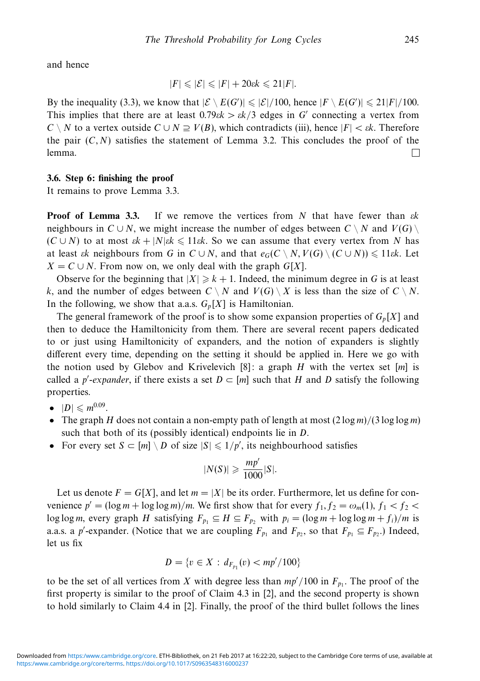and hence

$$
|F| \leqslant |\mathcal{E}| \leqslant |F| + 20\varepsilon k \leqslant 21|F|.
$$

By the inequality (3.3), we know that  $|\mathcal{E} \setminus E(G')| \leq |\mathcal{E}|/100$ , hence  $|F \setminus E(G')| \leq 21|F|/100$ . This implies that there are at least  $0.79\varepsilon k > \varepsilon k/3$  edges in *G* connecting a vertex from *C* \ *N* to a vertex outside  $C \cup N \supseteq V(B)$ , which contradicts (iii), hence  $|F| < \varepsilon k$ . Therefore the pair  $(C, N)$  satisfies the statement of Lemma 3.2. This concludes the proof of the lemma. П

# **3.6. Step 6: finishing the proof**

It remains to prove Lemma 3.3.

**Proof of Lemma 3.3.** If we remove the vertices from *N* that have fewer than *εk* neighbours in  $C \cup N$ , we might increase the number of edges between  $C \setminus N$  and  $V(G) \setminus N$  $(C \cup N)$  to at most  $\epsilon k + |N|\epsilon k \leq 11\epsilon k$ . So we can assume that every vertex from N has at least *εk* neighbours from *G* in  $C \cup N$ , and that  $e_G(C \setminus N, V(G) \setminus (C \cup N)) \leq 11$ *εk*. Let *X* = *C* ∪ *N*. From now on, we only deal with the graph  $G[X]$ .

Observe for the beginning that  $|X| \ge k + 1$ . Indeed, the minimum degree in *G* is at least *k*, and the number of edges between  $C \setminus N$  and  $V(G) \setminus X$  is less than the size of  $C \setminus N$ . In the following, we show that a.a.s.  $G_p[X]$  is Hamiltonian.

The general framework of the proof is to show some expansion properties of  $G_p[X]$  and then to deduce the Hamiltonicity from them. There are several recent papers dedicated to or just using Hamiltonicity of expanders, and the notion of expanders is slightly different every time, depending on the setting it should be applied in. Here we go with the notion used by Glebov and Krivelevich [8]: a graph *H* with the vertex set [*m*] is called a *p*'-expander, if there exists a set  $D \subset [m]$  such that *H* and *D* satisfy the following properties.

- $\bullet$   $|D| \leqslant m^{0.09}$ .
- The graph *H* does not contain a non-empty path of length at most  $(2 \log m)/(3 \log \log m)$ such that both of its (possibly identical) endpoints lie in *D*.
- For every set  $S \subset [m] \setminus D$  of size  $|S| \leq 1/p'$ , its neighbourhood satisfies

$$
|N(S)| \geqslant \frac{mp'}{1000}|S|.
$$

Let us denote  $F = G[X]$ , and let  $m = |X|$  be its order. Furthermore, let us define for convenience  $p' = (\log m + \log \log m)/m$ . We first show that for every  $f_1, f_2 = \omega_m(1), f_1 < f_2$ log log *m*, every graph *H* satisfying  $F_{p_1} \subseteq H \subseteq F_{p_2}$  with  $p_i = (\log m + \log \log m + f_i)/m$  is a.a.s. a *p*'-expander. (Notice that we are coupling  $F_{p_1}$  and  $F_{p_2}$ , so that  $F_{p_1} \subseteq F_{p_2}$ .) Indeed, let us fix

$$
D = \{v \in X : d_{F_{p_1}}(v) < \frac{mp'}{100}\}
$$

to be the set of all vertices from *X* with degree less than  $mp'/100$  in  $F_{p_1}$ . The proof of the first property is similar to the proof of Claim 4.3 in [2], and the second property is shown to hold similarly to Claim 4.4 in [2]. Finally, the proof of the third bullet follows the lines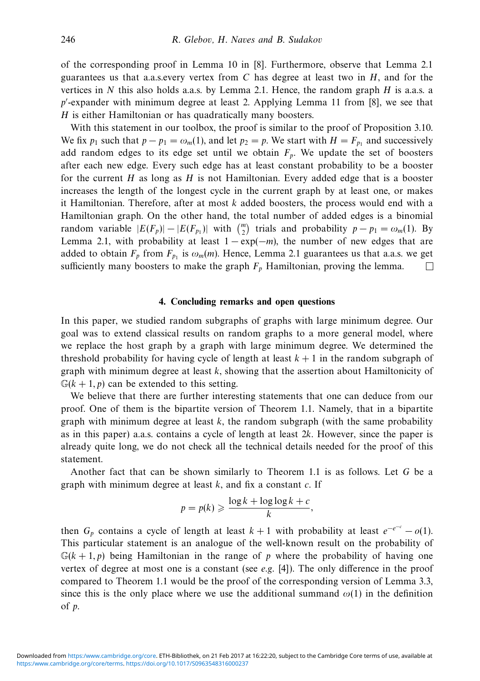of the corresponding proof in Lemma 10 in [8]. Furthermore, observe that Lemma 2.1 guarantees us that a.a.s.every vertex from *C* has degree at least two in *H*, and for the vertices in  $N$  this also holds a.a.s. by Lemma 2.1. Hence, the random graph  $H$  is a.a.s. a p'-expander with minimum degree at least 2. Applying Lemma 11 from [8], we see that *H* is either Hamiltonian or has quadratically many boosters.

With this statement in our toolbox, the proof is similar to the proof of Proposition 3.10. We fix  $p_1$  such that  $p - p_1 = \omega_m(1)$ , and let  $p_2 = p$ . We start with  $H = F_{p_1}$  and successively add random edges to its edge set until we obtain  $F_p$ . We update the set of boosters after each new edge. Every such edge has at least constant probability to be a booster for the current *H* as long as *H* is not Hamiltonian. Every added edge that is a booster increases the length of the longest cycle in the current graph by at least one, or makes it Hamiltonian. Therefore, after at most *k* added boosters, the process would end with a Hamiltonian graph. On the other hand, the total number of added edges is a binomial random variable  $|E(F_p)| - |E(F_{p_1})|$  with  $\binom{m}{2}$  trials and probability  $p - p_1 = \omega_m(1)$ . By Lemma 2.1, with probability at least  $1 - \exp(-m)$ , the number of new edges that are added to obtain  $F_p$  from  $F_{p_1}$  is  $\omega_m(m)$ . Hence, Lemma 2.1 guarantees us that a.a.s. we get sufficiently many boosters to make the graph  $F_p$  Hamiltonian, proving the lemma.  $\Box$ 

#### **4. Concluding remarks and open questions**

In this paper, we studied random subgraphs of graphs with large minimum degree. Our goal was to extend classical results on random graphs to a more general model, where we replace the host graph by a graph with large minimum degree. We determined the threshold probability for having cycle of length at least  $k + 1$  in the random subgraph of graph with minimum degree at least *k*, showing that the assertion about Hamiltonicity of  $\mathbb{G}(k+1,p)$  can be extended to this setting.

We believe that there are further interesting statements that one can deduce from our proof. One of them is the bipartite version of Theorem 1.1. Namely, that in a bipartite graph with minimum degree at least *k*, the random subgraph (with the same probability as in this paper) a.a.s. contains a cycle of length at least 2*k*. However, since the paper is already quite long, we do not check all the technical details needed for the proof of this statement.

Another fact that can be shown similarly to Theorem 1.1 is as follows. Let *G* be a graph with minimum degree at least *k*, and fix a constant *c*. If

$$
p = p(k) \geqslant \frac{\log k + \log \log k + c}{k},
$$

then  $G_p$  contains a cycle of length at least  $k + 1$  with probability at least  $e^{-e^{-c}} - o(1)$ . This particular statement is an analogue of the well-known result on the probability of  $\mathbb{G}(k+1,p)$  being Hamiltonian in the range of p where the probability of having one vertex of degree at most one is a constant (see  $e.g.$  [4]). The only difference in the proof compared to Theorem 1.1 would be the proof of the corresponding version of Lemma 3.3, since this is the only place where we use the additional summand  $\omega(1)$  in the definition of *p*.